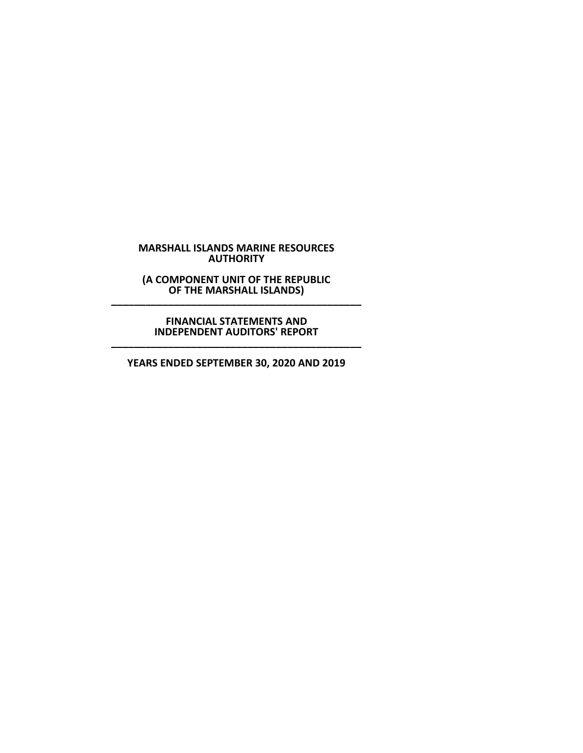**(A COMPONENT UNIT OF THE REPUBLIC OF THE MARSHALL ISLANDS) \_\_\_\_\_\_\_\_\_\_\_\_\_\_\_\_\_\_\_\_\_\_\_\_\_\_\_\_\_\_\_\_\_\_\_\_\_\_\_\_\_\_\_\_**

**FINANCIAL STATEMENTS AND INDEPENDENT AUDITORS' REPORT \_\_\_\_\_\_\_\_\_\_\_\_\_\_\_\_\_\_\_\_\_\_\_\_\_\_\_\_\_\_\_\_\_\_\_\_\_\_\_\_\_\_\_\_**

**YEARS ENDED SEPTEMBER 30, 2020 AND 2019**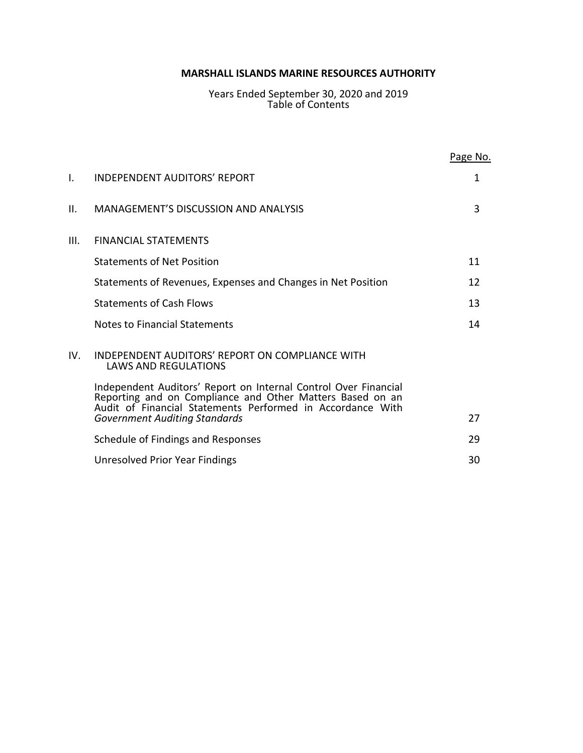Years Ended September 30, 2020 and 2019 Table of Contents

|      |                                                                                                                                                                                            | Page No. |
|------|--------------------------------------------------------------------------------------------------------------------------------------------------------------------------------------------|----------|
| I.   | <b>INDEPENDENT AUDITORS' REPORT</b>                                                                                                                                                        | 1        |
| Ш.   | MANAGEMENT'S DISCUSSION AND ANALYSIS                                                                                                                                                       | 3        |
| III. | <b>FINANCIAL STATEMENTS</b>                                                                                                                                                                |          |
|      | <b>Statements of Net Position</b>                                                                                                                                                          | 11       |
|      | Statements of Revenues, Expenses and Changes in Net Position                                                                                                                               | 12       |
|      | <b>Statements of Cash Flows</b>                                                                                                                                                            | 13       |
|      | Notes to Financial Statements                                                                                                                                                              | 14       |
| IV.  | INDEPENDENT AUDITORS' REPORT ON COMPLIANCE WITH<br><b>LAWS AND REGULATIONS</b>                                                                                                             |          |
|      | Independent Auditors' Report on Internal Control Over Financial<br>Reporting and on Compliance and Other Matters Based on an<br>Audit of Financial Statements Performed in Accordance With |          |
|      | <b>Government Auditing Standards</b>                                                                                                                                                       | 27       |
|      | Schedule of Findings and Responses                                                                                                                                                         | 29       |
|      | Unresolved Prior Year Findings                                                                                                                                                             | 30       |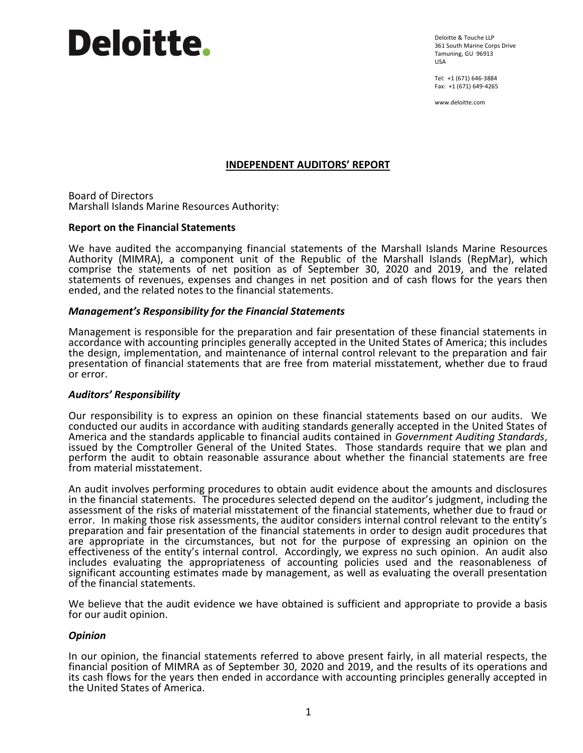# **Deloitte.**

Deloitte & Touche LLP 361 South Marine Corps Drive Tamuning, GU 96913 USA

Tel: +1 (671) 646-3884 Fax: +1 (671) 649-4265

www.deloitte.com

# **INDEPENDENT AUDITORS' REPORT**

Board of Directors Marshall Islands Marine Resources Authority:

# **Report on the Financial Statements**

We have audited the accompanying financial statements of the Marshall Islands Marine Resources Authority (MIMRA), a component unit of the Republic of the Marshall Islands (RepMar), which comprise the statements of net position as of September 30, 2020 and 2019, and the related statements of revenues, expenses and changes in net position and of cash flows for the years then ended, and the related notes to the financial statements.

# *Management's Responsibility for the Financial Statements*

Management is responsible for the preparation and fair presentation of these financial statements in accordance with accounting principles generally accepted in the United States of America; this includes the design, implementation, and maintenance of internal control relevant to the preparation and fair presentation of financial statements that are free from material misstatement, whether due to fraud or error.

# *Auditors' Responsibility*

Our responsibility is to express an opinion on these financial statements based on our audits. We conducted our audits in accordance with auditing standards generally accepted in the United States of America and the standards applicable to financial audits contained in *Government Auditing Standards*, issued by the Comptroller General of the United States. Those standards require that we plan and perform the audit to obtain reasonable assurance about whether the financial statements are free from material misstatement.

An audit involves performing procedures to obtain audit evidence about the amounts and disclosures in the financial statements. The procedures selected depend on the auditor's judgment, including the assessment of the risks of material misstatement of the financial statements, whether due to fraud or error. In making those risk assessments, the auditor considers internal control relevant to the entity's preparation and fair presentation of the financial statements in order to design audit procedures that are appropriate in the circumstances, but not for the purpose of expressing an opinion on the effectiveness of the entity's internal control. Accordingly, we express no such opinion. An audit also includes evaluating the appropriateness of accounting policies used and the reasonableness of significant accounting estimates made by management, as well as evaluating the overall presentation of the financial statements.

We believe that the audit evidence we have obtained is sufficient and appropriate to provide a basis for our audit opinion.

# *Opinion*

In our opinion, the financial statements referred to above present fairly, in all material respects, the financial position of MIMRA as of September 30, 2020 and 2019, and the results of its operations and its cash flows for the years then ended in accordance with accounting principles generally accepted in the United States of America.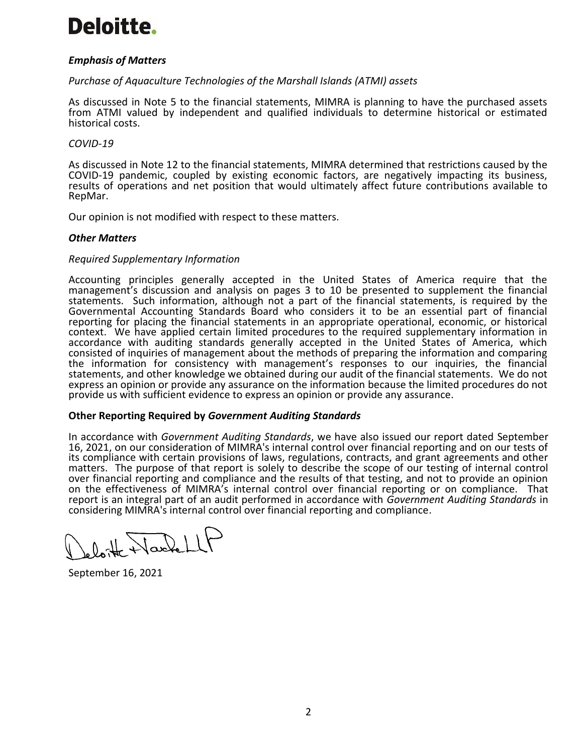# Deloitte.

# *Emphasis of Matters*

# *Purchase of Aquaculture Technologies of the Marshall Islands (ATMI) assets*

As discussed in Note 5 to the financial statements, MIMRA is planning to have the purchased assets from ATMI valued by independent and qualified individuals to determine historical or estimated historical costs.

# *COVID-19*

As discussed in Note 12 to the financial statements, MIMRA determined that restrictions caused by the COVID-19 pandemic, coupled by existing economic factors, are negatively impacting its business, results of operations and net position that would ultimately affect future contributions available to RepMar.

Our opinion is not modified with respect to these matters.

# *Other Matters*

# *Required Supplementary Information*

Accounting principles generally accepted in the United States of America require that the management's discussion and analysis on pages 3 to 10 be presented to supplement the financial statements. Such information, although not a part of the financial statements, is required by the Governmental Accounting Standards Board who considers it to be an essential part of financial reporting for placing the financial statements in an appropriate operational, economic, or historical context. We have applied certain limited procedures to the required supplementary information in accordance with auditing standards generally accepted in the United States of America, which consisted of inquiries of management about the methods of preparing the information and comparing the information for consistency with management's responses to our inquiries, the financial statements, and other knowledge we obtained during our audit of the financial statements. We do not express an opinion or provide any assurance on the information because the limited procedures do not provide us with sufficient evidence to express an opinion or provide any assurance.

# **Other Reporting Required by** *Government Auditing Standards*

In accordance with *Government Auditing Standards*, we have also issued our report dated September 16, 2021, on our consideration of MIMRA's internal control over financial reporting and on our tests of its compliance with certain provisions of laws, regulations, contracts, and grant agreements and other matters. The purpose of that report is solely to describe the scope of our testing of internal control over financial reporting and compliance and the results of that testing, and not to provide an opinion on the effectiveness of MIMRA's internal control over financial reporting or on compliance. That report is an integral part of an audit performed in accordance with *Government Auditing Standards* in considering MIMRA's internal control over financial reporting and compliance.

September 16, 2021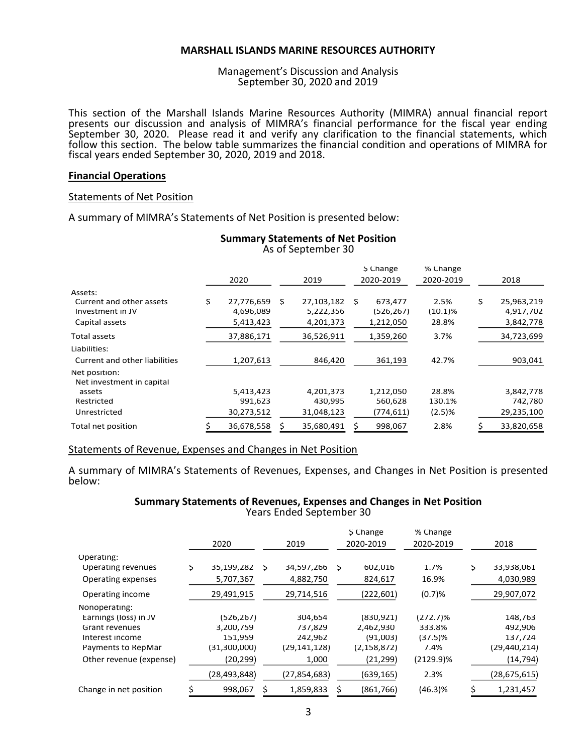Management's Discussion and Analysis September 30, 2020 and 2019

This section of the Marshall Islands Marine Resources Authority (MIMRA) annual financial report presents our discussion and analysis of MIMRA's financial performance for the fiscal year ending September 30, 2020. Please read it and verify any clarification to the financial statements, which follow this section. The below table summarizes the financial condition and operations of MIMRA for fiscal years ended September 30, 2020, 2019 and 2018.

#### **Financial Operations**

#### Statements of Net Position

A summary of MIMRA's Statements of Net Position is presented below:

|                                                                           |   | 2020                                 |   | 2019                                 |   | \$ Change<br>2020-2019             | % Change<br>2020-2019       |   | 2018                                 |
|---------------------------------------------------------------------------|---|--------------------------------------|---|--------------------------------------|---|------------------------------------|-----------------------------|---|--------------------------------------|
| Assets:<br>Current and other assets<br>Investment in JV<br>Capital assets | S | 27,776,659<br>4,696,089<br>5,413,423 | s | 27,103,182<br>5,222,356<br>4,201,373 | S | 673.477<br>(526, 267)<br>1,212,050 | 2.5%<br>$(10.1)\%$<br>28.8% | Ş | 25,963,219<br>4,917,702<br>3,842,778 |
| Total assets<br>Liabilities:                                              |   | 37,886,171                           |   | 36,526,911                           |   | 1,359,260                          | 3.7%                        |   | 34,723,699                           |
| Current and other liabilities                                             |   | 1,207,613                            |   | 846,420                              |   | 361,193                            | 42.7%                       |   | 903,041                              |
| Net position:<br>Net investment in capital<br>assets<br>Restricted        |   | 5,413,423<br>991,623                 |   | 4,201,373<br>430,995                 |   | 1.212.050<br>560,628               | 28.8%<br>130.1%             |   | 3,842,778<br>742,780                 |
| Unrestricted                                                              |   | 30,273,512                           |   | 31,048,123                           |   | (774, 611)                         | (2.5)%                      |   | 29,235,100                           |
| Total net position                                                        |   | 36,678,558                           |   | 35,680,491                           |   | 998.067                            | 2.8%                        |   | 33,820,658                           |

#### **Summary Statements of Net Position** As of September 30

#### Statements of Revenue, Expenses and Changes in Net Position

A summary of MIMRA's Statements of Revenues, Expenses, and Changes in Net Position is presented below:

#### **Summary Statements of Revenues, Expenses and Changes in Net Position** Years Ended September 30

|                         |   |                |   |                |   | \$ Change     | % Change     |     |              |
|-------------------------|---|----------------|---|----------------|---|---------------|--------------|-----|--------------|
|                         |   | 2020           |   | 2019           |   | 2020-2019     | 2020-2019    |     | 2018         |
| Operating:              |   |                |   |                |   |               |              |     |              |
| Operating revenues      | Ş | 35,199,282     | S | 34,597,266     | S | 602,016       | 1.7%         | \$. | 33,938,061   |
| Operating expenses      |   | 5,707,367      |   | 4,882,750      |   | 824,617       | 16.9%        |     | 4,030,989    |
| Operating income        |   | 29,491,915     |   | 29,714,516     |   | (222, 601)    | (0.7)%       |     | 29,907,072   |
| Nonoperating:           |   |                |   |                |   |               |              |     |              |
| Earnings (loss) in JV   |   | (526, 267)     |   | 304,654        |   | (830, 921)    | (272.7)%     |     | 148,763      |
| Grant revenues          |   | 3,200,759      |   | 737,829        |   | 2,462,930     | 333.8%       |     | 492,906      |
| Interest income         |   | 151,959        |   | 242,962        |   | (91,003)      | (37.5)%      |     | 137,724      |
| Payments to RepMar      |   | (31,300,000)   |   | (29, 141, 128) |   | (2, 158, 872) | 7.4%         |     | (29,440,214) |
| Other revenue (expense) |   | (20, 299)      |   | 1,000          |   | (21,299)      | $(2129.9)\%$ |     | (14, 794)    |
|                         |   | (28, 493, 848) |   | (27,854,683)   |   | (639, 165)    | 2.3%         |     | (28,675,615) |
| Change in net position  |   | 998,067        |   | 1,859,833      |   | (861,766)     | $(46.3)\%$   |     | 1,231,457    |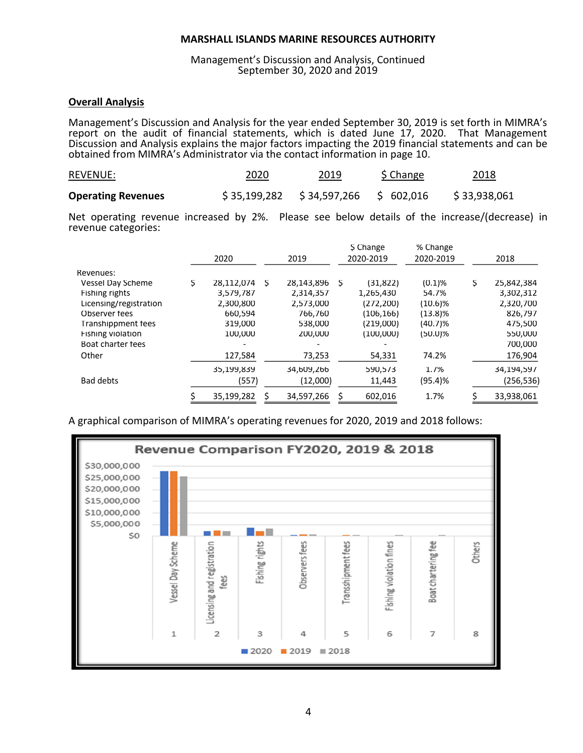Management's Discussion and Analysis, Continued September 30, 2020 and 2019

# **Overall Analysis**

Management's Discussion and Analysis for the year ended September 30, 2019 is set forth in MIMRA's report on the audit of financial statements, which is dated June 17, 2020. That Management Discussion and Analysis explains the major factors impacting the 2019 financial statements and can be obtained from MIMRA's Administrator via the contact information in page 10.

| REVENUE:                  | 2020 | 2019                                   | \$ Change | 2018<br>____ |
|---------------------------|------|----------------------------------------|-----------|--------------|
| <b>Operating Revenues</b> |      | $$35,199,282 \t$34,597,266 \t$602,016$ |           | \$33,938,061 |

Net operating revenue increased by 2%. Please see below details of the increase/(decrease) in revenue categories:

|                        |   |            |   |            |   | S Change  | % Change   |    |            |
|------------------------|---|------------|---|------------|---|-----------|------------|----|------------|
|                        |   | 2020       |   | 2019       |   | 2020-2019 | 2020-2019  |    | 2018       |
| Revenues:              |   |            |   |            |   |           |            |    |            |
| Vessel Day Scheme      | Ş | 28.112.074 | S | 28,143,896 | S | (31, 822) | (0.1)%     | Ş. | 25,842,384 |
| Fishing rights         |   | 3,579,787  |   | 2,314,357  |   | 1,265,430 | 54.7%      |    | 3,302,312  |
| Licensing/registration |   | 2,300,800  |   | 2,573,000  |   | (272,200) | $(10.6)\%$ |    | 2,320,700  |
| Observer fees          |   | 660,594    |   | 766,760    |   | (106,166) | $(13.8)\%$ |    | 826,797    |
| Transhippment fees     |   | 319,000    |   | 538,000    |   | (219,000) | (40.7)%    |    | 475,500    |
| Fishing violation      |   | 100,000    |   | 200,000    |   | (100,000) | $(50.0)\%$ |    | 550,000    |
| Boat charter fees      |   |            |   |            |   |           |            |    | 700,000    |
| Other                  |   | 127,584    |   | 73,253     |   | 54,331    | 74.2%      |    | 176,904    |
|                        |   | 35,199,839 |   | 34,609,266 |   | 590,573   | 1.7%       |    | 34,194,597 |
| <b>Bad debts</b>       |   | (557)      |   | (12,000)   |   | 11,443    | (95.4)%    |    | (256, 536) |
|                        |   | 35,199,282 |   | 34,597,266 |   | 602,016   | 1.7%       |    | 33,938,061 |



A graphical comparison of MIMRA's operating revenues for 2020, 2019 and 2018 follows: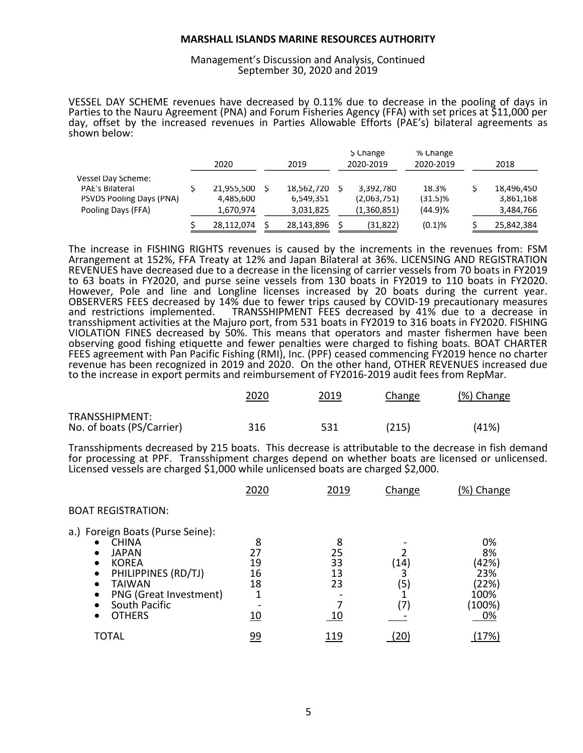Management's Discussion and Analysis, Continued September 30, 2020 and 2019

VESSEL DAY SCHEME revenues have decreased by 0.11% due to decrease in the pooling of days in Parties to the Nauru Agreement (PNA) and Forum Fisheries Agency (FFA) with set prices at \$11,000 per day, offset by the increased revenues in Parties Allowable Efforts (PAE's) bilateral agreements as shown below:

|                                                                                                | 2020                                 | 2019                                 | S Change<br>2020-2019                   | % Change<br>2020-2019          | 2018                                 |
|------------------------------------------------------------------------------------------------|--------------------------------------|--------------------------------------|-----------------------------------------|--------------------------------|--------------------------------------|
| Vessel Day Scheme:<br><b>PAE's Bilateral</b><br>PSVDS Pooling Days (PNA)<br>Pooling Days (FFA) | 21,955,500<br>4,485,600<br>1,670,974 | 18,562,720<br>6,549,351<br>3,031,825 | 3,392,780<br>(2,063,751)<br>(1,360,851) | 18.3%<br>$(31.5)\%$<br>(44.9)% | 18,496,450<br>3,861,168<br>3,484,766 |
|                                                                                                | 28,112,074                           | 28,143,896                           | (31, 822)                               | (0.1)%                         | 25,842,384                           |

The increase in FISHING RIGHTS revenues is caused by the increments in the revenues from: FSM Arrangement at 152%, FFA Treaty at 12% and Japan Bilateral at 36%. LICENSING AND REGISTRATION REVENUES have decreased due to a decrease in the licensing of carrier vessels from 70 boats in FY2019 to 63 boats in FY2020, and purse seine vessels from 130 boats in FY2019 to 110 boats in FY2020. However, Pole and line and Longline licenses increased by 20 boats during the current year. OBSERVERS FEES decreased by 14% due to fewer trips caused by COVID-19 precautionary measures and restrictions implemented. TRANSSHIPMENT FEES decreased by 41% due to a decrease in TRANSSHIPMENT FEES decreased by 41% due to a decrease in transshipment activities at the Majuro port, from 531 boats in FY2019 to 316 boats in FY2020. FISHING VIOLATION FINES decreased by 50%. This means that operators and master fishermen have been observing good fishing etiquette and fewer penalties were charged to fishing boats. BOAT CHARTER FEES agreement with Pan Pacific Fishing (RMI), Inc. (PPF) ceased commencing FY2019 hence no charter revenue has been recognized in 2019 and 2020. On the other hand, OTHER REVENUES increased due to the increase in export permits and reimbursement of FY2016-2019 audit fees from RepMar.

|                           | 2020 | 2019 | Change | (%) Change |
|---------------------------|------|------|--------|------------|
| TRANSSHIPMENT:            |      |      |        |            |
| No. of boats (PS/Carrier) | 316  | 531  | (215)  | (41%)      |

Transshipments decreased by 215 boats. This decrease is attributable to the decrease in fish demand for processing at PPF. Transshipment charges depend on whether boats are licensed or unlicensed. Licensed vessels are charged \$1,000 while unlicensed boats are charged \$2,000.

|                                                                                                                                                                                                                                                                                              | 2020                                   | 2019                      | Change             | (%) Change                                                |
|----------------------------------------------------------------------------------------------------------------------------------------------------------------------------------------------------------------------------------------------------------------------------------------------|----------------------------------------|---------------------------|--------------------|-----------------------------------------------------------|
| <b>BOAT REGISTRATION:</b>                                                                                                                                                                                                                                                                    |                                        |                           |                    |                                                           |
| a.) Foreign Boats (Purse Seine):<br><b>CHINA</b><br>$\bullet$<br><b>JAPAN</b><br>$\bullet$<br><b>KOREA</b><br>$\bullet$<br>PHILIPPINES (RD/TJ)<br>$\bullet$<br><b>TAIWAN</b><br>$\bullet$<br>PNG (Great Investment)<br>$\bullet$<br>South Pacific<br>$\bullet$<br><b>OTHERS</b><br>$\bullet$ | 8<br>27<br>19<br>16<br>18<br><u>10</u> | 8<br>25<br>33<br>13<br>23 | (14)<br>(5)<br>(7) | 0%<br>8%<br>(42%)<br>23%<br>(22%)<br>100%<br>(100%)<br>0% |
| TOTAL                                                                                                                                                                                                                                                                                        | <u>99</u>                              | 119                       | 20)                | 17%                                                       |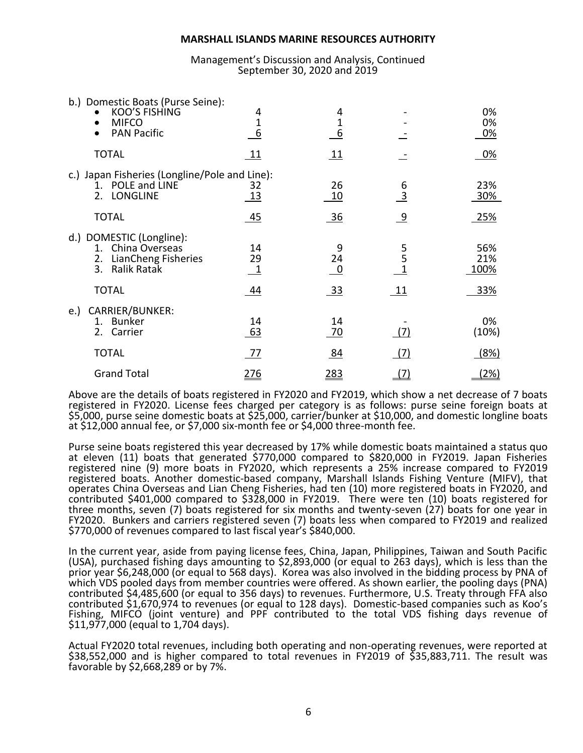#### Management's Discussion and Analysis, Continued September 30, 2020 and 2019

| b.) Domestic Boats (Purse Seine):<br><b>KOO'S FISHING</b><br><b>MIFCO</b><br>$\bullet$<br><b>PAN Pacific</b><br>$\bullet$ | 4<br>1<br>6                | 4<br>$\overline{1}$<br>6 |               | 0%<br>0%<br>0%     |
|---------------------------------------------------------------------------------------------------------------------------|----------------------------|--------------------------|---------------|--------------------|
| <b>TOTAL</b>                                                                                                              | 11                         | 11                       |               | 0%                 |
| c.) Japan Fisheries (Longline/Pole and Line):<br>1. POLE and LINE<br>2. LONGLINE                                          | 32<br><u> 13</u>           | 26<br><u> 10</u>         | $\frac{6}{3}$ | 23%<br><u>30%</u>  |
| <b>TOTAL</b>                                                                                                              | 45                         | $\frac{36}{1}$           | <u>و</u>      | 25%                |
| d.) DOMESTIC (Longline):<br>1. China Overseas<br>2. LianCheng Fisheries<br>3. Ralik Ratak                                 | 14<br>29<br>$\overline{1}$ | 9<br>24<br><u>_0</u>     | 5<br>5<br>1   | 56%<br>21%<br>100% |
| <b>TOTAL</b>                                                                                                              | 44                         | <u>_33</u>               | 11            | 33%                |
| CARRIER/BUNKER:<br>e.)<br>1. Bunker<br>2. Carrier                                                                         | 14<br>63                   | 14<br>$\overline{70}$    | (7)           | 0%<br>(10%)        |
| <b>TOTAL</b>                                                                                                              | <u>77</u>                  | <u>84</u>                | (7)           | (8%)               |
| <b>Grand Total</b>                                                                                                        | <u> 276</u>                | <u> 283</u>              |               | (2%)               |

Above are the details of boats registered in FY2020 and FY2019, which show a net decrease of 7 boats registered in FY2020. License fees charged per category is as follows: purse seine foreign boats at \$5,000, purse seine domestic boats at \$25,000, carrier/bunker at \$10,000, and domestic longline boats at \$12,000 annual fee, or \$7,000 six-month fee or \$4,000 three-month fee.

Purse seine boats registered this year decreased by 17% while domestic boats maintained a status quo at eleven (11) boats that generated \$770,000 compared to \$820,000 in FY2019. Japan Fisheries registered nine (9) more boats in FY2020, which represents a 25% increase compared to FY2019 registered boats. Another domestic-based company, Marshall Islands Fishing Venture (MIFV), that operates China Overseas and Lian Cheng Fisheries, had ten (10) more registered boats in FY2020, and contributed \$401,000 compared to \$328,000 in FY2019. There were ten (10) boats registered for three months, seven (7) boats registered for six months and twenty-seven (27) boats for one year in FY2020. Bunkers and carriers registered seven (7) boats less when compared to FY2019 and realized \$770,000 of revenues compared to last fiscal year's \$840,000.

In the current year, aside from paying license fees, China, Japan, Philippines, Taiwan and South Pacific (USA), purchased fishing days amounting to \$2,893,000 (or equal to 263 days), which is less than the prior year \$6,248,000 (or equal to 568 days). Korea was also involved in the bidding process by PNA of which VDS pooled days from member countries were offered. As shown earlier, the pooling days (PNA) contributed \$4,485,600 (or equal to 356 days) to revenues. Furthermore, U.S. Treaty through FFA also contributed \$1,670,974 to revenues (or equal to 128 days). Domestic-based companies such as Koo's Fishing, MIFCO (joint venture) and PPF contributed to the total VDS fishing days revenue of \$11,977,000 (equal to 1,704 days).

Actual FY2020 total revenues, including both operating and non-operating revenues, were reported at \$38,552,000 and is higher compared to total revenues in FY2019 of \$35,883,711. The result was favorable by \$2,668,289 or by 7%.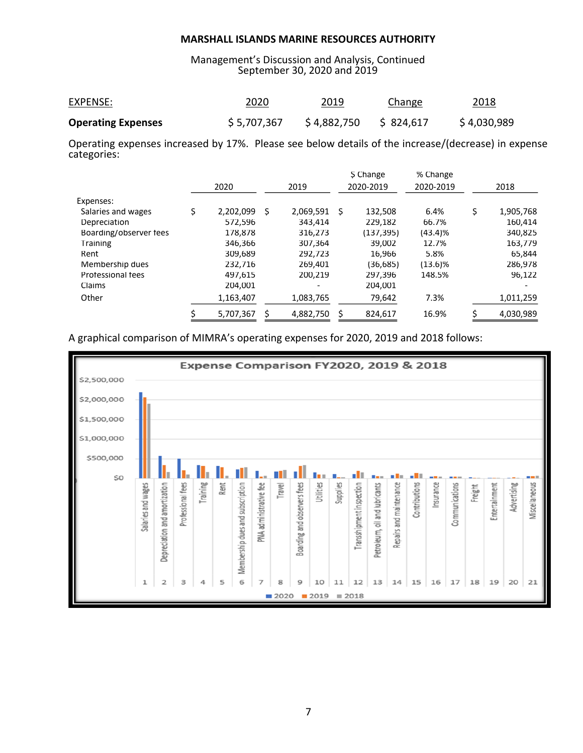Management's Discussion and Analysis, Continued September 30, 2020 and 2019

| EXPENSE:                  | 2020        | 2019        | Change    | 2018        |
|---------------------------|-------------|-------------|-----------|-------------|
| <b>Operating Expenses</b> | \$5,707,367 | \$4,882,750 | S 824,617 | \$4,030,989 |

Operating expenses increased by 17%. Please see below details of the increase/(decrease) in expense categories:

|                        |   |           |   |           |   | S Change   | % Change   |   |           |
|------------------------|---|-----------|---|-----------|---|------------|------------|---|-----------|
|                        |   | 2020      |   | 2019      |   | 2020-2019  | 2020-2019  |   | 2018      |
| Expenses:              |   |           |   |           |   |            |            |   |           |
| Salaries and wages     | S | 2,202,099 | S | 2,069,591 | S | 132,508    | 6.4%       | Ş | 1,905,768 |
| Depreciation           |   | 572,596   |   | 343,414   |   | 229,182    | 66.7%      |   | 160,414   |
| Boarding/observer fees |   | 178,878   |   | 316,273   |   | (137, 395) | (43.4)%    |   | 340,825   |
| <b>Training</b>        |   | 346,366   |   | 307,364   |   | 39,002     | 12.7%      |   | 163,779   |
| Rent                   |   | 309,689   |   | 292,723   |   | 16,966     | 5.8%       |   | 65,844    |
| Membership dues        |   | 232,716   |   | 269,401   |   | (36,685)   | $(13.6)\%$ |   | 286,978   |
| Professional fees      |   | 497,615   |   | 200.219   |   | 297,396    | 148.5%     |   | 96,122    |
| Claims                 |   | 204,001   |   |           |   | 204,001    |            |   |           |
| Other                  |   | 1,163,407 |   | 1,083,765 |   | 79,642     | 7.3%       |   | 1,011,259 |
|                        |   | 5,707,367 |   | 4,882,750 |   | 824,617    | 16.9%      |   | 4,030,989 |

A graphical comparison of MIMRA's operating expenses for 2020, 2019 and 2018 follows:

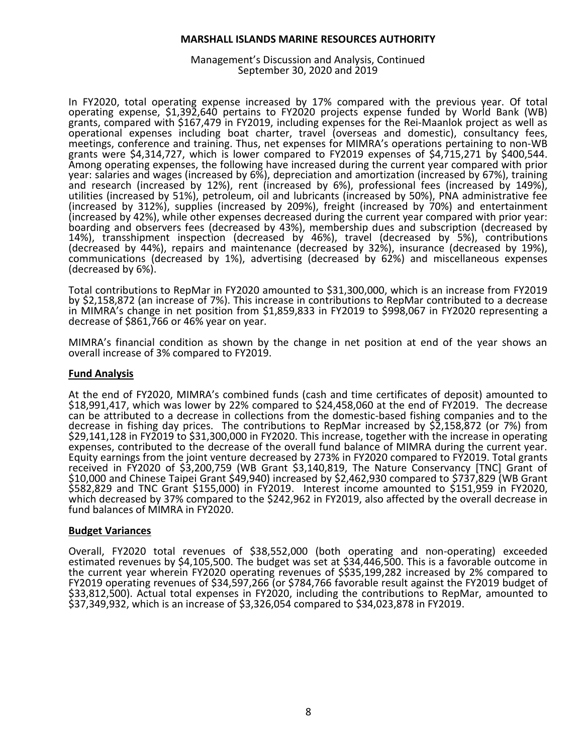Management's Discussion and Analysis, Continued September 30, 2020 and 2019

In FY2020, total operating expense increased by 17% compared with the previous year. Of total operating expense, \$1,392,640 pertains to FY2020 projects expense funded by World Bank (WB) grants, compared with \$167,479 in FY2019, including expenses for the Rei-Maanlok project as well as operational expenses including boat charter, travel (overseas and domestic), consultancy fees, meetings, conference and training. Thus, net expenses for MIMRA's operations pertaining to non-WB grants were \$4,314,727, which is lower compared to FY2019 expenses of \$4,715,271 by \$400,544. Among operating expenses, the following have increased during the current year compared with prior year: salaries and wages (increased by 6%), depreciation and amortization (increased by 67%), training and research (increased by 12%), rent (increased by 6%), professional fees (increased by 149%), utilities (increased by 51%), petroleum, oil and lubricants (increased by 50%), PNA administrative fee (increased by 312%), supplies (increased by 209%), freight (increased by 70%) and entertainment (increased by 42%), while other expenses decreased during the current year compared with prior year: boarding and observers fees (decreased by 43%), membership dues and subscription (decreased by 14%), transshipment inspection (decreased by 46%), travel (decreased by 5%), contributions (decreased by 44%), repairs and maintenance (decreased by 32%), insurance (decreased by 19%), communications (decreased by 1%), advertising (decreased by 62%) and miscellaneous expenses (decreased by 6%).

Total contributions to RepMar in FY2020 amounted to \$31,300,000, which is an increase from FY2019 by \$2,158,872 (an increase of 7%). This increase in contributions to RepMar contributed to a decrease in MIMRA's change in net position from \$1,859,833 in FY2019 to \$998,067 in FY2020 representing a decrease of \$861,766 or 46% year on year.

MIMRA's financial condition as shown by the change in net position at end of the year shows an overall increase of 3% compared to FY2019.

# **Fund Analysis**

At the end of FY2020, MIMRA's combined funds (cash and time certificates of deposit) amounted to \$18,991,417, which was lower by 22% compared to \$24,458,060 at the end of FY2019. The decrease can be attributed to a decrease in collections from the domestic-based fishing companies and to the decrease in fishing day prices. The contributions to RepMar increased by \$2,158,872 (or 7%) from \$29,141,128 in FY2019 to \$31,300,000 in FY2020. This increase, together with the increase in operating expenses, contributed to the decrease of the overall fund balance of MIMRA during the current year. Equity earnings from the joint venture decreased by 273% in FY2020 compared to FY2019. Total grants received in FY2020 of \$3,200,759 (WB Grant \$3,140,819, The Nature Conservancy [TNC] Grant of \$10,000 and Chinese Taipei Grant \$49,940) increased by \$2,462,930 compared to \$737,829 (WB Grant \$582,829 and TNC Grant \$155,000) in FY2019. Interest income amounted to \$151,959 in FY2020, which decreased by 37% compared to the \$242,962 in FY2019, also affected by the overall decrease in fund balances of MIMRA in FY2020.

# **Budget Variances**

Overall, FY2020 total revenues of \$38,552,000 (both operating and non-operating) exceeded estimated revenues by \$4,105,500. The budget was set at \$34,446,500. This is a favorable outcome in the current year wherein FY2020 operating revenues of \$\$35,199,282 increased by 2% compared to FY2019 operating revenues of \$34,597,266 (or \$784,766 favorable result against the FY2019 budget of \$33,812,500). Actual total expenses in FY2020, including the contributions to RepMar, amounted to \$37,349,932, which is an increase of \$3,326,054 compared to \$34,023,878 in FY2019.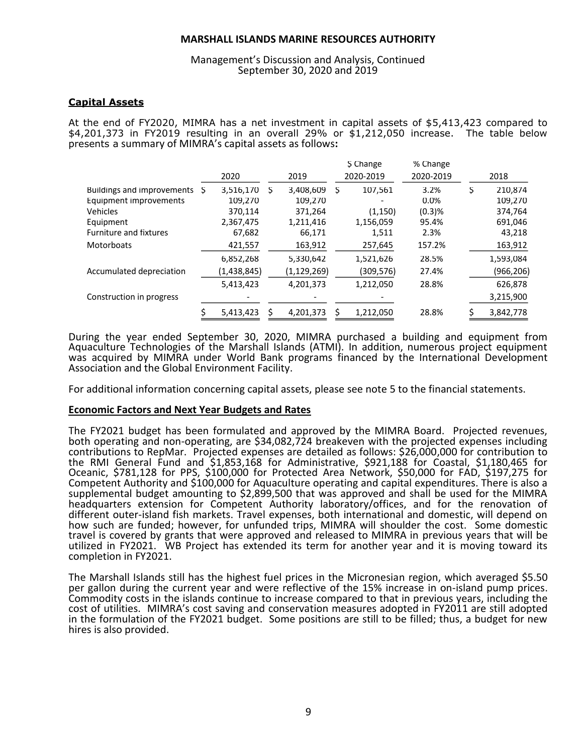#### Management's Discussion and Analysis, Continued September 30, 2020 and 2019

# **Capital Assets**

At the end of FY2020, MIMRA has a net investment in capital assets of \$5,413,423 compared to \$4,201,373 in FY2019 resulting in an overall 29% or \$1,212,050 increase. The table below presents a summary of MIMRA's capital assets as follows**:**

|                               |   | 2020        |   | 2019        |   | S Change<br>2020-2019 | % Change<br>2020-2019 |   | 2018       |
|-------------------------------|---|-------------|---|-------------|---|-----------------------|-----------------------|---|------------|
| Buildings and improvements    | S | 3,516,170   | S | 3,408,609   | S | 107,561               | 3.2%                  | Ş | 210,874    |
| Equipment improvements        |   | 109,270     |   | 109,270     |   |                       | 0.0%                  |   | 109,270    |
| <b>Vehicles</b>               |   | 370,114     |   | 371,264     |   | (1, 150)              | $(0.3)$ %             |   | 374,764    |
| Equipment                     |   | 2,367,475   |   | 1,211,416   |   | 1,156,059             | 95.4%                 |   | 691,046    |
| <b>Furniture and fixtures</b> |   | 67,682      |   | 66,171      |   | 1,511                 | 2.3%                  |   | 43,218     |
| Motorboats                    |   | 421,557     |   | 163,912     |   | 257,645               | 157.2%                |   | 163,912    |
|                               |   | 6,852,268   |   | 5,330,642   |   | 1,521,626             | 28.5%                 |   | 1,593,084  |
| Accumulated depreciation      |   | (1,438,845) |   | (1,129,269) |   | (309, 576)            | 27.4%                 |   | (966, 206) |
|                               |   | 5,413,423   |   | 4,201,373   |   | 1,212,050             | 28.8%                 |   | 626,878    |
| Construction in progress      |   |             |   |             |   |                       |                       |   | 3,215,900  |
|                               |   | 5,413,423   |   | 4,201,373   | ς | 1,212,050             | 28.8%                 |   | 3,842,778  |

During the year ended September 30, 2020, MIMRA purchased a building and equipment from Aquaculture Technologies of the Marshall Islands (ATMI). In addition, numerous project equipment was acquired by MIMRA under World Bank programs financed by the International Development Association and the Global Environment Facility.

For additional information concerning capital assets, please see note 5 to the financial statements.

# **Economic Factors and Next Year Budgets and Rates**

The FY2021 budget has been formulated and approved by the MIMRA Board. Projected revenues, both operating and non-operating, are \$34,082,724 breakeven with the projected expenses including contributions to RepMar. Projected expenses are detailed as follows: \$26,000,000 for contribution to the RMI General Fund and \$1,853,168 for Administrative, \$921,188 for Coastal, \$1,180,465 for Oceanic, \$781,128 for PPS, \$100,000 for Protected Area Network, \$50,000 for FAD, \$197,275 for Competent Authority and \$100,000 for Aquaculture operating and capital expenditures. There is also a supplemental budget amounting to \$2,899,500 that was approved and shall be used for the MIMRA headquarters extension for Competent Authority laboratory/offices, and for the renovation of different outer-island fish markets. Travel expenses, both international and domestic, will depend on how such are funded; however, for unfunded trips, MIMRA will shoulder the cost. Some domestic travel is covered by grants that were approved and released to MIMRA in previous years that will be utilized in FY2021. WB Project has extended its term for another year and it is moving toward its completion in FY2021.

The Marshall Islands still has the highest fuel prices in the Micronesian region, which averaged \$5.50 per gallon during the current year and were reflective of the 15% increase in on-island pump prices. Commodity costs in the islands continue to increase compared to that in previous years, including the cost of utilities. MIMRA's cost saving and conservation measures adopted in FY2011 are still adopted in the formulation of the FY2021 budget. Some positions are still to be filled; thus, a budget for new hires is also provided.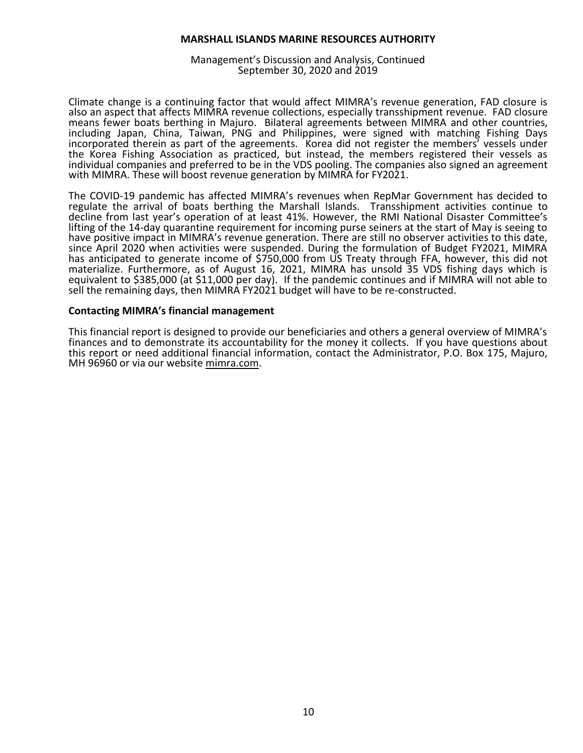Management's Discussion and Analysis, Continued September 30, 2020 and 2019

Climate change is a continuing factor that would affect MIMRA's revenue generation, FAD closure is also an aspect that affects MIMRA revenue collections, especially transshipment revenue. FAD closure means fewer boats berthing in Majuro. Bilateral agreements between MIMRA and other countries, including Japan, China, Taiwan, PNG and Philippines, were signed with matching Fishing Days incorporated therein as part of the agreements. Korea did not register the members' vessels under the Korea Fishing Association as practiced, but instead, the members registered their vessels as individual companies and preferred to be in the VDS pooling. The companies also signed an agreement with MIMRA. These will boost revenue generation by MIMRA for FY2021.

The COVID-19 pandemic has affected MIMRA's revenues when RepMar Government has decided to regulate the arrival of boats berthing the Marshall Islands. Transshipment activities continue to decline from last year's operation of at least 41%. However, the RMI National Disaster Committee's lifting of the 14-day quarantine requirement for incoming purse seiners at the start of May is seeing to have positive impact in MIMRA's revenue generation. There are still no observer activities to this date, since April 2020 when activities were suspended. During the formulation of Budget FY2021, MIMRA has anticipated to generate income of \$750,000 from US Treaty through FFA, however, this did not materialize. Furthermore, as of August 16, 2021, MIMRA has unsold 35 VDS fishing days which is equivalent to \$385,000 (at \$11,000 per day). If the pandemic continues and if MIMRA will not able to sell the remaining days, then MIMRA FY2021 budget will have to be re-constructed.

# **Contacting MIMRA's financial management**

This financial report is designed to provide our beneficiaries and others a general overview of MIMRA's finances and to demonstrate its accountability for the money it collects. If you have questions about this report or need additional financial information, contact the Administrator, P.O. Box 175, Majuro, MH 96960 or via our website [mimra.com.](mailto:mimra.@ntamar.net)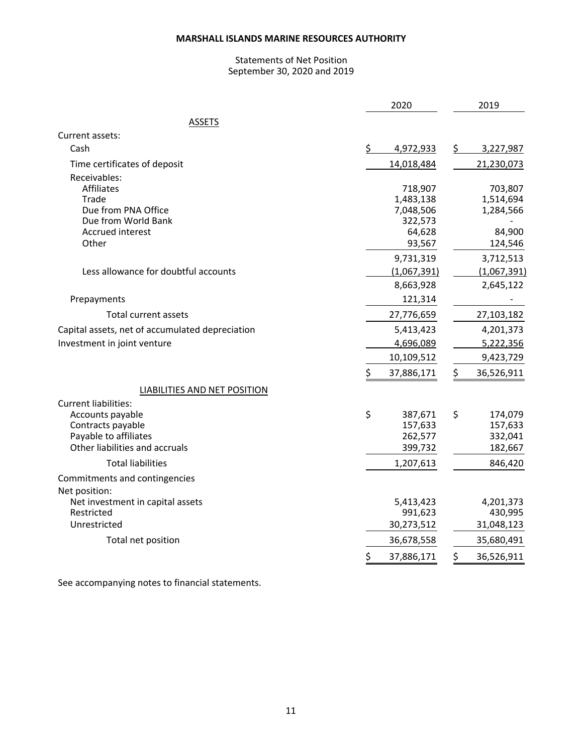#### Statements of Net Position September 30, 2020 and 2019

|                                                                                                                                 | 2020                                           | 2019                                           |
|---------------------------------------------------------------------------------------------------------------------------------|------------------------------------------------|------------------------------------------------|
| <b>ASSETS</b>                                                                                                                   |                                                |                                                |
| Current assets:                                                                                                                 |                                                |                                                |
| Cash                                                                                                                            | \$<br>4,972,933                                | \$<br>3,227,987                                |
| Time certificates of deposit                                                                                                    | 14,018,484                                     | 21,230,073                                     |
| Receivables:<br>Affiliates<br>Trade<br>Due from PNA Office<br>Due from World Bank                                               | 718,907<br>1,483,138<br>7,048,506<br>322,573   | 703,807<br>1,514,694<br>1,284,566              |
| <b>Accrued interest</b>                                                                                                         | 64,628                                         | 84,900                                         |
| Other                                                                                                                           | 93,567                                         | 124,546                                        |
| Less allowance for doubtful accounts                                                                                            | 9,731,319<br>(1,067,391)                       | 3,712,513<br>(1,067,391)                       |
|                                                                                                                                 | 8,663,928                                      | 2,645,122                                      |
| Prepayments                                                                                                                     | 121,314                                        |                                                |
| Total current assets                                                                                                            | 27,776,659                                     | 27,103,182                                     |
| Capital assets, net of accumulated depreciation                                                                                 | 5,413,423                                      | 4,201,373                                      |
| Investment in joint venture                                                                                                     | 4,696,089                                      | 5,222,356                                      |
|                                                                                                                                 | 10,109,512                                     | 9,423,729                                      |
|                                                                                                                                 | \$<br>37,886,171                               | \$<br>36,526,911                               |
| LIABILITIES AND NET POSITION                                                                                                    |                                                |                                                |
| <b>Current liabilities:</b><br>Accounts payable<br>Contracts payable<br>Payable to affiliates<br>Other liabilities and accruals | \$<br>387,671<br>157,633<br>262,577<br>399,732 | \$<br>174,079<br>157,633<br>332,041<br>182,667 |
| <b>Total liabilities</b>                                                                                                        | 1,207,613                                      | 846,420                                        |
| Commitments and contingencies<br>Net position:                                                                                  |                                                |                                                |
| Net investment in capital assets<br>Restricted<br>Unrestricted                                                                  | 5,413,423<br>991,623<br>30,273,512             | 4,201,373<br>430,995<br>31,048,123             |
| Total net position                                                                                                              | 36,678,558                                     | 35,680,491                                     |
|                                                                                                                                 | \$<br>37,886,171                               | \$<br>36,526,911                               |

See accompanying notes to financial statements.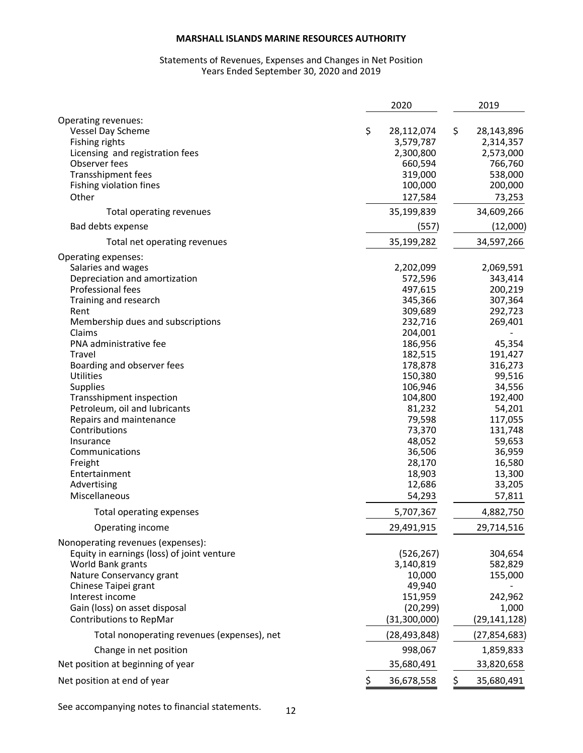#### Statements of Revenues, Expenses and Changes in Net Position Years Ended September 30, 2020 and 2019

| 2020                                                                                                                                                                                                                                                                                                                                                                                                                                                                                                |             |                                                                                                                                                                                                                                         | 2019 |                                                                                                                                                                                                                             |
|-----------------------------------------------------------------------------------------------------------------------------------------------------------------------------------------------------------------------------------------------------------------------------------------------------------------------------------------------------------------------------------------------------------------------------------------------------------------------------------------------------|-------------|-----------------------------------------------------------------------------------------------------------------------------------------------------------------------------------------------------------------------------------------|------|-----------------------------------------------------------------------------------------------------------------------------------------------------------------------------------------------------------------------------|
| Operating revenues:<br><b>Vessel Day Scheme</b><br>Fishing rights<br>Licensing and registration fees<br>Observer fees<br><b>Transshipment fees</b><br>Fishing violation fines<br>Other                                                                                                                                                                                                                                                                                                              | $\varsigma$ | 28,112,074<br>3,579,787<br>2,300,800<br>660,594<br>319,000<br>100,000<br>127,584                                                                                                                                                        | \$.  | 28,143,896<br>2,314,357<br>2,573,000<br>766,760<br>538,000<br>200,000<br>73,253                                                                                                                                             |
| Total operating revenues                                                                                                                                                                                                                                                                                                                                                                                                                                                                            |             | 35,199,839                                                                                                                                                                                                                              |      | 34,609,266                                                                                                                                                                                                                  |
| Bad debts expense                                                                                                                                                                                                                                                                                                                                                                                                                                                                                   |             | (557)                                                                                                                                                                                                                                   |      | (12,000)                                                                                                                                                                                                                    |
| Total net operating revenues                                                                                                                                                                                                                                                                                                                                                                                                                                                                        |             | 35,199,282                                                                                                                                                                                                                              |      | 34,597,266                                                                                                                                                                                                                  |
| Operating expenses:<br>Salaries and wages<br>Depreciation and amortization<br>Professional fees<br>Training and research<br>Rent<br>Membership dues and subscriptions<br>Claims<br>PNA administrative fee<br><b>Travel</b><br>Boarding and observer fees<br><b>Utilities</b><br><b>Supplies</b><br>Transshipment inspection<br>Petroleum, oil and lubricants<br>Repairs and maintenance<br>Contributions<br>Insurance<br>Communications<br>Freight<br>Entertainment<br>Advertising<br>Miscellaneous |             | 2,202,099<br>572,596<br>497,615<br>345,366<br>309,689<br>232,716<br>204,001<br>186,956<br>182,515<br>178,878<br>150,380<br>106,946<br>104,800<br>81,232<br>79,598<br>73,370<br>48,052<br>36,506<br>28,170<br>18,903<br>12,686<br>54,293 |      | 2,069,591<br>343,414<br>200,219<br>307,364<br>292,723<br>269,401<br>45,354<br>191,427<br>316,273<br>99,516<br>34,556<br>192,400<br>54,201<br>117,055<br>131,748<br>59,653<br>36,959<br>16,580<br>13,300<br>33,205<br>57,811 |
| Total operating expenses                                                                                                                                                                                                                                                                                                                                                                                                                                                                            |             | 5,707,367                                                                                                                                                                                                                               |      | 4,882,750                                                                                                                                                                                                                   |
| Operating income<br>Nonoperating revenues (expenses):<br>Equity in earnings (loss) of joint venture<br>World Bank grants<br>Nature Conservancy grant<br>Chinese Taipei grant<br>Interest income<br>Gain (loss) on asset disposal<br>Contributions to RepMar                                                                                                                                                                                                                                         |             | 29,491,915<br>(526, 267)<br>3,140,819<br>10,000<br>49,940<br>151,959<br>(20, 299)<br>(31,300,000)                                                                                                                                       |      | 29,714,516<br>304,654<br>582,829<br>155,000<br>242,962<br>1,000<br>(29,141,128)                                                                                                                                             |
| Total nonoperating revenues (expenses), net                                                                                                                                                                                                                                                                                                                                                                                                                                                         |             | (28, 493, 848)                                                                                                                                                                                                                          |      | (27, 854, 683)                                                                                                                                                                                                              |
| Change in net position                                                                                                                                                                                                                                                                                                                                                                                                                                                                              |             | 998,067                                                                                                                                                                                                                                 |      | 1,859,833                                                                                                                                                                                                                   |
| Net position at beginning of year                                                                                                                                                                                                                                                                                                                                                                                                                                                                   |             | 35,680,491                                                                                                                                                                                                                              |      | 33,820,658                                                                                                                                                                                                                  |
| Net position at end of year                                                                                                                                                                                                                                                                                                                                                                                                                                                                         | \$          | 36,678,558                                                                                                                                                                                                                              | \$   | 35,680,491                                                                                                                                                                                                                  |

See accompanying notes to financial statements. 12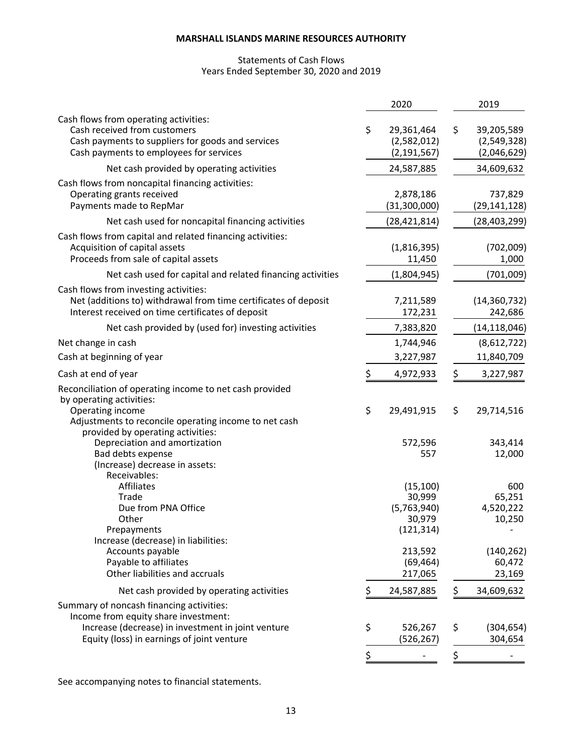#### Statements of Cash Flows Years Ended September 30, 2020 and 2019

|                                                                                                                                                                       |             | 2020                                                       |     | 2019                                     |
|-----------------------------------------------------------------------------------------------------------------------------------------------------------------------|-------------|------------------------------------------------------------|-----|------------------------------------------|
| Cash flows from operating activities:<br>Cash received from customers<br>Cash payments to suppliers for goods and services<br>Cash payments to employees for services | $\varsigma$ | 29,361,464<br>(2,582,012)<br>(2, 191, 567)                 | \$. | 39,205,589<br>(2,549,328)<br>(2,046,629) |
| Net cash provided by operating activities                                                                                                                             |             | 24,587,885                                                 |     | 34,609,632                               |
| Cash flows from noncapital financing activities:<br>Operating grants received<br>Payments made to RepMar                                                              |             | 2,878,186<br>(31, 300, 000)                                |     | 737,829<br>(29, 141, 128)                |
| Net cash used for noncapital financing activities                                                                                                                     |             | (28, 421, 814)                                             |     | (28, 403, 299)                           |
| Cash flows from capital and related financing activities:<br>Acquisition of capital assets<br>Proceeds from sale of capital assets                                    |             | (1,816,395)<br>11,450                                      |     | (702,009)<br>1,000                       |
| Net cash used for capital and related financing activities                                                                                                            |             | (1,804,945)                                                |     | (701,009)                                |
| Cash flows from investing activities:<br>Net (additions to) withdrawal from time certificates of deposit<br>Interest received on time certificates of deposit         |             | 7,211,589<br>172,231                                       |     | (14, 360, 732)<br>242,686                |
| Net cash provided by (used for) investing activities                                                                                                                  |             | 7,383,820                                                  |     | (14, 118, 046)                           |
| Net change in cash                                                                                                                                                    |             | 1,744,946                                                  |     | (8,612,722)                              |
| Cash at beginning of year                                                                                                                                             |             | 3,227,987                                                  |     | 11,840,709                               |
| Cash at end of year                                                                                                                                                   | \$          | 4,972,933                                                  | \$  | 3,227,987                                |
| Reconciliation of operating income to net cash provided<br>by operating activities:<br>Operating income<br>Adjustments to reconcile operating income to net cash      | \$          | 29,491,915                                                 | \$  | 29,714,516                               |
| provided by operating activities:<br>Depreciation and amortization<br>Bad debts expense<br>(Increase) decrease in assets:                                             |             | 572,596<br>557                                             |     | 343,414<br>12,000                        |
| Receivables:<br>Affiliates<br>Trade<br>Due from PNA Office<br>Other<br>Prepayments                                                                                    |             | (15, 100)<br>30,999<br>(5,763,940)<br>30,979<br>(121, 314) |     | 600<br>65,251<br>4,520,222<br>10,250     |
| Increase (decrease) in liabilities:<br>Accounts payable<br>Payable to affiliates<br>Other liabilities and accruals                                                    |             | 213,592<br>(69, 464)<br>217,065                            |     | (140, 262)<br>60,472<br>23,169           |
| Net cash provided by operating activities                                                                                                                             | \$          | 24,587,885                                                 | \$  | 34,609,632                               |
| Summary of noncash financing activities:<br>Income from equity share investment:<br>Increase (decrease) in investment in joint venture                                | \$          | 526,267                                                    | \$  | (304, 654)                               |
| Equity (loss) in earnings of joint venture                                                                                                                            |             | (526, 267)                                                 |     | 304,654                                  |
|                                                                                                                                                                       | \$          |                                                            | \$  |                                          |

See accompanying notes to financial statements.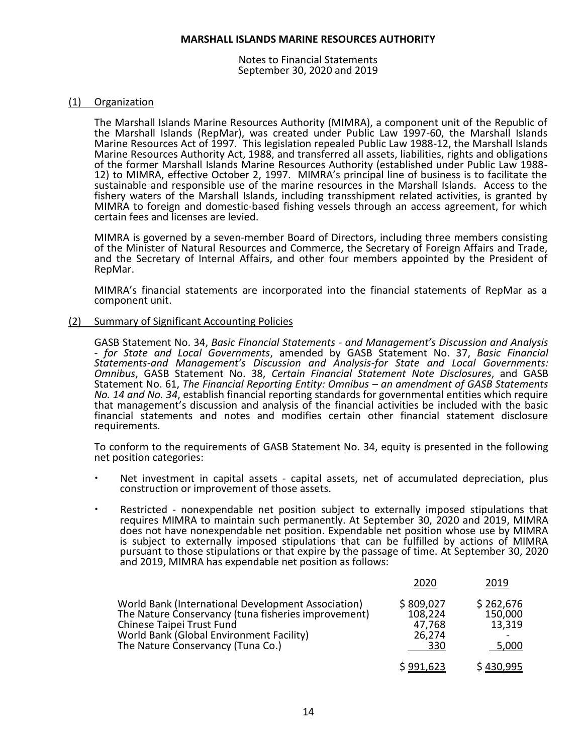Notes to Financial Statements September 30, 2020 and 2019

# (1) Organization

The Marshall Islands Marine Resources Authority (MIMRA), a component unit of the Republic of the Marshall Islands (RepMar), was created under Public Law 1997-60, the Marshall Islands Marine Resources Act of 1997. This legislation repealed Public Law 1988-12, the Marshall Islands Marine Resources Authority Act, 1988, and transferred all assets, liabilities, rights and obligations of the former Marshall Islands Marine Resources Authority (established under Public Law 1988- 12) to MIMRA, effective October 2, 1997. MIMRA's principal line of business is to facilitate the sustainable and responsible use of the marine resources in the Marshall Islands. Access to the fishery waters of the Marshall Islands, including transshipment related activities, is granted by MIMRA to foreign and domestic-based fishing vessels through an access agreement, for which certain fees and licenses are levied.

MIMRA is governed by a seven-member Board of Directors, including three members consisting of the Minister of Natural Resources and Commerce, the Secretary of Foreign Affairs and Trade, and the Secretary of Internal Affairs, and other four members appointed by the President of RepMar.

MIMRA's financial statements are incorporated into the financial statements of RepMar as a component unit.

#### (2) Summary of Significant Accounting Policies

GASB Statement No. 34, *Basic Financial Statements - and Management's Discussion and Analysis - for State and Local Governments*, amended by GASB Statement No. 37, *Basic Financial Statements-and Management's Discussion and Analysis-for State and Local Governments: Omnibus*, GASB Statement No. 38, *Certain Financial Statement Note Disclosures*, and GASB Statement No. 61, *The Financial Reporting Entity: Omnibus – an amendment of GASB Statements No. 14 and No. 34*, establish financial reporting standards for governmental entities which require that management's discussion and analysis of the financial activities be included with the basic financial statements and notes and modifies certain other financial statement disclosure requirements.

To conform to the requirements of GASB Statement No. 34, equity is presented in the following net position categories:

- Net investment in capital assets capital assets, net of accumulated depreciation, plus construction or improvement of those assets.
- Restricted nonexpendable net position subject to externally imposed stipulations that requires MIMRA to maintain such permanently. At September 30, 2020 and 2019, MIMRA does not have nonexpendable net position. Expendable net position whose use by MIMRA is subject to externally imposed stipulations that can be fulfilled by actions of MIMRA pursuant to those stipulations or that expire by the passage of time. At September 30, 2020 and 2019, MIMRA has expendable net position as follows:

|                                                                                                                                                                                                                         | 2020                                            | 2019                                    |
|-------------------------------------------------------------------------------------------------------------------------------------------------------------------------------------------------------------------------|-------------------------------------------------|-----------------------------------------|
| World Bank (International Development Association)<br>The Nature Conservancy (tuna fisheries improvement)<br>Chinese Taipei Trust Fund<br>World Bank (Global Environment Facility)<br>The Nature Conservancy (Tuna Co.) | \$809,027<br>108,224<br>47,768<br>26,274<br>330 | \$262,676<br>150,000<br>13,319<br>5,000 |
|                                                                                                                                                                                                                         | \$991,623                                       | \$430,995                               |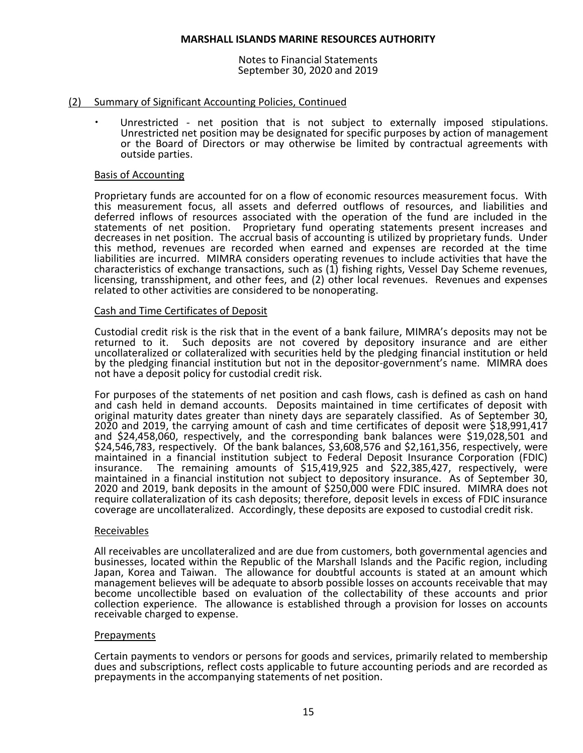Notes to Financial Statements September 30, 2020 and 2019

#### (2) Summary of Significant Accounting Policies, Continued

 Unrestricted - net position that is not subject to externally imposed stipulations. Unrestricted net position may be designated for specific purposes by action of management or the Board of Directors or may otherwise be limited by contractual agreements with outside parties.

#### Basis of Accounting

Proprietary funds are accounted for on a flow of economic resources measurement focus. With this measurement focus, all assets and deferred outflows of resources, and liabilities and deferred inflows of resources associated with the operation of the fund are included in the statements of net position. Proprietary fund operating statements present increases and decreases in net position. The accrual basis of accounting is utilized by proprietary funds. Under this method, revenues are recorded when earned and expenses are recorded at the time liabilities are incurred. MIMRA considers operating revenues to include activities that have the characteristics of exchange transactions, such as (1) fishing rights, Vessel Day Scheme revenues, licensing, transshipment, and other fees, and (2) other local revenues. Revenues and expenses related to other activities are considered to be nonoperating.

#### Cash and Time Certificates of Deposit

Custodial credit risk is the risk that in the event of a bank failure, MIMRA's deposits may not be Such deposits are not covered by depository insurance and are either uncollateralized or collateralized with securities held by the pledging financial institution or held by the pledging financial institution but not in the depositor-government's name. MIMRA does not have a deposit policy for custodial credit risk.

For purposes of the statements of net position and cash flows, cash is defined as cash on hand and cash held in demand accounts. Deposits maintained in time certificates of deposit with original maturity dates greater than ninety days are separately classified. As of September 30, 2020 and 2019, the carrying amount of cash and time certificates of deposit were \$18,991,417 and \$24,458,060, respectively, and the corresponding bank balances were \$19,028,501 and \$24,546,783, respectively. Of the bank balances, \$3,608,576 and \$2,161,356, respectively, were maintained in a financial institution subject to Federal Deposit Insurance Corporation (FDIC) insurance. The remaining amounts of \$15,419,925 and \$22,385,427, respectively, were maintained in a financial institution not subject to depository insurance. As of September 30, 2020 and 2019, bank deposits in the amount of \$250,000 were FDIC insured. MIMRA does not require collateralization of its cash deposits; therefore, deposit levels in excess of FDIC insurance coverage are uncollateralized. Accordingly, these deposits are exposed to custodial credit risk.

#### Receivables

All receivables are uncollateralized and are due from customers, both governmental agencies and businesses, located within the Republic of the Marshall Islands and the Pacific region, including Japan, Korea and Taiwan. The allowance for doubtful accounts is stated at an amount which management believes will be adequate to absorb possible losses on accounts receivable that may become uncollectible based on evaluation of the collectability of these accounts and prior collection experience. The allowance is established through a provision for losses on accounts receivable charged to expense.

#### Prepayments

Certain payments to vendors or persons for goods and services, primarily related to membership dues and subscriptions, reflect costs applicable to future accounting periods and are recorded as prepayments in the accompanying statements of net position.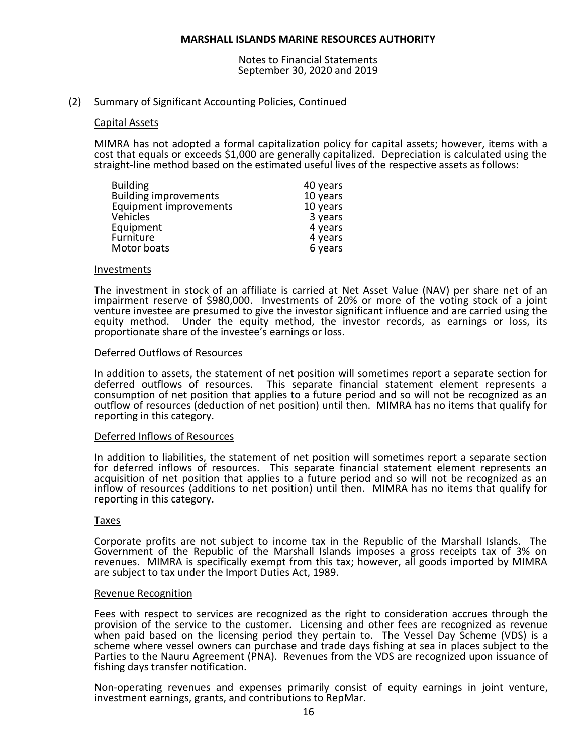Notes to Financial Statements September 30, 2020 and 2019

# (2) Summary of Significant Accounting Policies, Continued

#### Capital Assets

MIMRA has not adopted a formal capitalization policy for capital assets; however, items with a cost that equals or exceeds \$1,000 are generally capitalized. Depreciation is calculated using the straight-line method based on the estimated useful lives of the respective assets as follows:

| <b>Building</b>              | 40 years |
|------------------------------|----------|
| <b>Building improvements</b> | 10 years |
| Equipment improvements       | 10 years |
| Vehicles                     | 3 years  |
| Equipment                    | 4 years  |
| Furniture                    | 4 years  |
| Motor boats                  | 6 years  |

#### Investments

The investment in stock of an affiliate is carried at Net Asset Value (NAV) per share net of an impairment reserve of \$980,000. Investments of 20% or more of the voting stock of a joint venture investee are presumed to give the investor significant influence and are carried using the equity method. Under the equity method, the investor records, as earnings or loss, its proportionate share of the investee's earnings or loss.

#### Deferred Outflows of Resources

In addition to assets, the statement of net position will sometimes report a separate section for deferred outflows of resources. This separate financial statement element represents a consumption of net position that applies to a future period and so will not be recognized as an outflow of resources (deduction of net position) until then. MIMRA has no items that qualify for reporting in this category.

#### Deferred Inflows of Resources

In addition to liabilities, the statement of net position will sometimes report a separate section for deferred inflows of resources. This separate financial statement element represents an acquisition of net position that applies to a future period and so will not be recognized as an inflow of resources (additions to net position) until then. MIMRA has no items that qualify for reporting in this category.

#### Taxes

Corporate profits are not subject to income tax in the Republic of the Marshall Islands. The Government of the Republic of the Marshall Islands imposes a gross receipts tax of 3% on revenues. MIMRA is specifically exempt from this tax; however, all goods imported by MIMRA are subject to tax under the Import Duties Act, 1989.

#### Revenue Recognition

Fees with respect to services are recognized as the right to consideration accrues through the provision of the service to the customer. Licensing and other fees are recognized as revenue when paid based on the licensing period they pertain to. The Vessel Day Scheme (VDS) is a scheme where vessel owners can purchase and trade days fishing at sea in places subject to the Parties to the Nauru Agreement (PNA). Revenues from the VDS are recognized upon issuance of fishing days transfer notification.

Non-operating revenues and expenses primarily consist of equity earnings in joint venture, investment earnings, grants, and contributions to RepMar.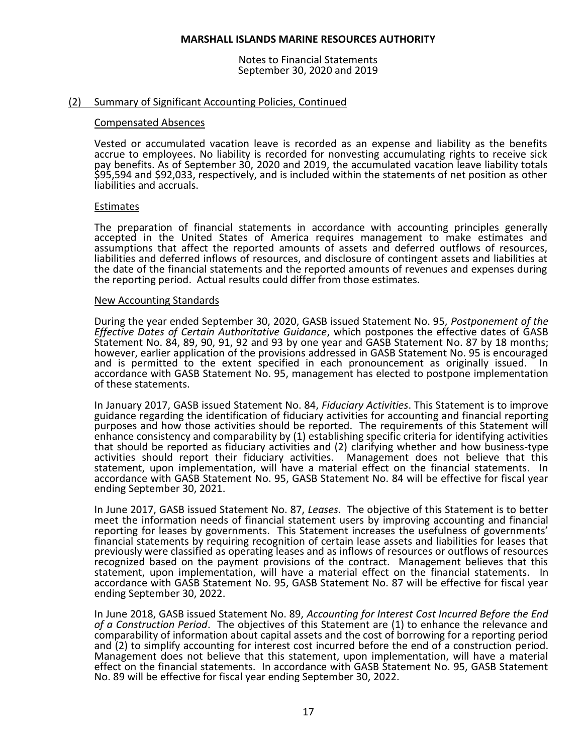Notes to Financial Statements September 30, 2020 and 2019

# (2) Summary of Significant Accounting Policies, Continued

#### Compensated Absences

Vested or accumulated vacation leave is recorded as an expense and liability as the benefits accrue to employees. No liability is recorded for nonvesting accumulating rights to receive sick pay benefits. As of September 30, 2020 and 2019, the accumulated vacation leave liability totals \$95,594 and \$92,033, respectively, and is included within the statements of net position as other liabilities and accruals.

#### Estimates

The preparation of financial statements in accordance with accounting principles generally accepted in the United States of America requires management to make estimates and assumptions that affect the reported amounts of assets and deferred outflows of resources, liabilities and deferred inflows of resources, and disclosure of contingent assets and liabilities at the date of the financial statements and the reported amounts of revenues and expenses during the reporting period. Actual results could differ from those estimates.

#### New Accounting Standards

During the year ended September 30, 2020, GASB issued Statement No. 95, *Postponement of the Effective Dates of Certain Authoritative Guidance*, which postpones the effective dates of GASB Statement No. 84, 89, 90, 91, 92 and 93 by one year and GASB Statement No. 87 by 18 months; however, earlier application of the provisions addressed in GASB Statement No. 95 is encouraged and is permitted to the extent specified in each pronouncement as originally issued. In accordance with GASB Statement No. 95, management has elected to postpone implementation of these statements.

In January 2017, GASB issued Statement No. 84, *Fiduciary Activities*. This Statement is to improve guidance regarding the identification of fiduciary activities for accounting and financial reporting purposes and how those activities should be reported. The requirements of this Statement will enhance consistency and comparability by (1) establishing specific criteria for identifying activities that should be reported as fiduciary activities and (2) clarifying whether and how business-type activities should report their fiduciary activities. Management does not believe that this statement, upon implementation, will have a material effect on the financial statements. In accordance with GASB Statement No. 95, GASB Statement No. 84 will be effective for fiscal year ending September 30, 2021.

In June 2017, GASB issued Statement No. 87, *Leases*. The objective of this Statement is to better meet the information needs of financial statement users by improving accounting and financial reporting for leases by governments. This Statement increases the usefulness of governments' financial statements by requiring recognition of certain lease assets and liabilities for leases that previously were classified as operating leases and as inflows of resources or outflows of resources recognized based on the payment provisions of the contract. Management believes that this statement, upon implementation, will have a material effect on the financial statements. In accordance with GASB Statement No. 95, GASB Statement No. 87 will be effective for fiscal year ending September 30, 2022.

In June 2018, GASB issued Statement No. 89, *Accounting for Interest Cost Incurred Before the End of a Construction Period*. The objectives of this Statement are (1) to enhance the relevance and comparability of information about capital assets and the cost of borrowing for a reporting period and (2) to simplify accounting for interest cost incurred before the end of a construction period. Management does not believe that this statement, upon implementation, will have a material effect on the financial statements. In accordance with GASB Statement No. 95, GASB Statement No. 89 will be effective for fiscal year ending September 30, 2022.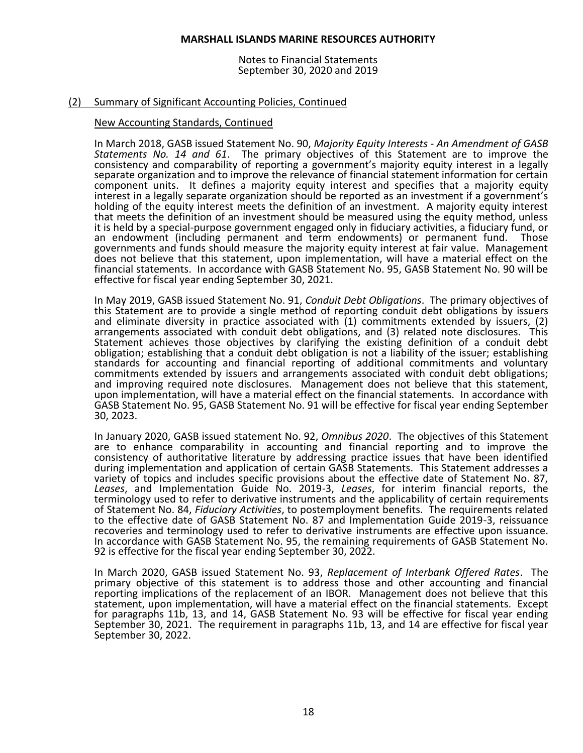Notes to Financial Statements September 30, 2020 and 2019

# (2) Summary of Significant Accounting Policies, Continued

#### New Accounting Standards, Continued

In March 2018, GASB issued Statement No. 90, *Majority Equity Interests - An Amendment of GASB Statements No. 14 and 61*. The primary objectives of this Statement are to improve the consistency and comparability of reporting a government's majority equity interest in a legally separate organization and to improve the relevance of financial statement information for certain component units. It defines a majority equity interest and specifies that a majority equity interest in a legally separate organization should be reported as an investment if a government's holding of the equity interest meets the definition of an investment. A majority equity interest that meets the definition of an investment should be measured using the equity method, unless it is held by a special-purpose government engaged only in fiduciary activities, a fiduciary fund, or an endowment (including permanent and term endowments) or permanent fund. Those governments and funds should measure the majority equity interest at fair value. Management does not believe that this statement, upon implementation, will have a material effect on the financial statements. In accordance with GASB Statement No. 95, GASB Statement No. 90 will be effective for fiscal year ending September 30, 2021.

In May 2019, GASB issued Statement No. 91, *Conduit Debt Obligations*. The primary objectives of this Statement are to provide a single method of reporting conduit debt obligations by issuers and eliminate diversity in practice associated with (1) commitments extended by issuers, (2) arrangements associated with conduit debt obligations, and (3) related note disclosures. This Statement achieves those objectives by clarifying the existing definition of a conduit debt obligation; establishing that a conduit debt obligation is not a liability of the issuer; establishing standards for accounting and financial reporting of additional commitments and voluntary commitments extended by issuers and arrangements associated with conduit debt obligations; and improving required note disclosures. Management does not believe that this statement, upon implementation, will have a material effect on the financial statements. In accordance with GASB Statement No. 95, GASB Statement No. 91 will be effective for fiscal year ending September 30, 2023.

In January 2020, GASB issued statement No. 92, *Omnibus 2020*. The objectives of this Statement are to enhance comparability in accounting and financial reporting and to improve the consistency of authoritative literature by addressing practice issues that have been identified during implementation and application of certain GASB Statements. This Statement addresses a variety of topics and includes specific provisions about the effective date of Statement No. 87, *Leases*, and Implementation Guide No. 2019-3, *Leases*, for interim financial reports, the terminology used to refer to derivative instruments and the applicability of certain requirements of Statement No. 84, *Fiduciary Activities*, to postemployment benefits. The requirements related to the effective date of GASB Statement No. 87 and Implementation Guide 2019-3, reissuance recoveries and terminology used to refer to derivative instruments are effective upon issuance. In accordance with GASB Statement No. 95, the remaining requirements of GASB Statement No. 92 is effective for the fiscal year ending September 30, 2022.

In March 2020, GASB issued Statement No. 93, *Replacement of Interbank Offered Rates*. The primary objective of this statement is to address those and other accounting and financial reporting implications of the replacement of an IBOR. Management does not believe that this statement, upon implementation, will have a material effect on the financial statements. Except for paragraphs 11b, 13, and 14, GASB Statement No. 93 will be effective for fiscal year ending September 30, 2021. The requirement in paragraphs 11b, 13, and 14 are effective for fiscal year September 30, 2022.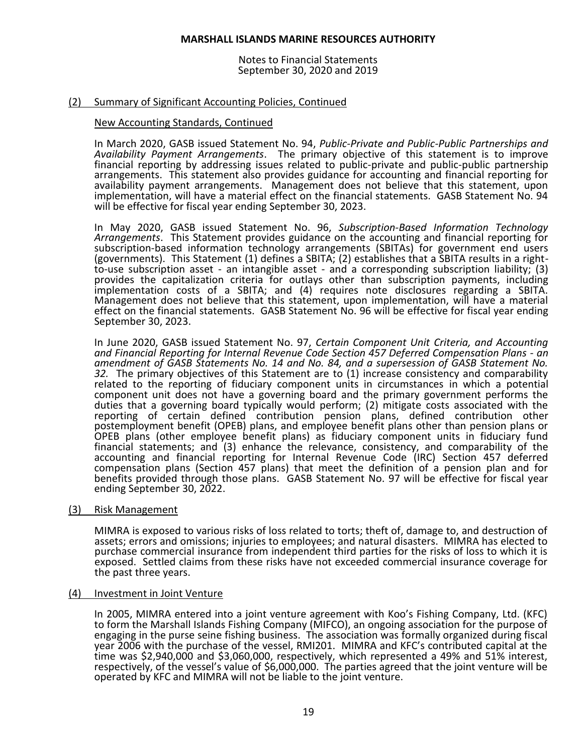Notes to Financial Statements September 30, 2020 and 2019

# (2) Summary of Significant Accounting Policies, Continued

# New Accounting Standards, Continued

In March 2020, GASB issued Statement No. 94, *Public-Private and Public-Public Partnerships and Availability Payment Arrangements*. The primary objective of this statement is to improve financial reporting by addressing issues related to public-private and public-public partnership arrangements. This statement also provides guidance for accounting and financial reporting for availability payment arrangements. Management does not believe that this statement, upon implementation, will have a material effect on the financial statements. GASB Statement No. 94 will be effective for fiscal year ending September 30, 2023.

In May 2020, GASB issued Statement No. 96, *Subscription-Based Information Technology Arrangements*. This Statement provides guidance on the accounting and financial reporting for subscription-based information technology arrangements (SBITAs) for government end users (governments). This Statement (1) defines a SBITA; (2) establishes that a SBITA results in a rightto-use subscription asset - an intangible asset - and a corresponding subscription liability; (3) provides the capitalization criteria for outlays other than subscription payments, including implementation costs of a SBITA; and (4) requires note disclosures regarding a SBITA. Management does not believe that this statement, upon implementation, will have a material effect on the financial statements. GASB Statement No. 96 will be effective for fiscal year ending September 30, 2023.

In June 2020, GASB issued Statement No. 97, *Certain Component Unit Criteria, and Accounting and Financial Reporting for Internal Revenue Code Section 457 Deferred Compensation Plans - an amendment of GASB Statements No. 14 and No. 84, and a supersession of GASB Statement No. 32.* The primary objectives of this Statement are to (1) increase consistency and comparability related to the reporting of fiduciary component units in circumstances in which a potential component unit does not have a governing board and the primary government performs the duties that a governing board typically would perform; (2) mitigate costs associated with the reporting of certain defined contribution pension plans, defined contribution other postemployment benefit (OPEB) plans, and employee benefit plans other than pension plans or OPEB plans (other employee benefit plans) as fiduciary component units in fiduciary fund financial statements; and (3) enhance the relevance, consistency, and comparability of the accounting and financial reporting for Internal Revenue Code (IRC) Section 457 deferred compensation plans (Section 457 plans) that meet the definition of a pension plan and for benefits provided through those plans. GASB Statement No. 97 will be effective for fiscal year ending September 30, 2022.

(3) Risk Management

MIMRA is exposed to various risks of loss related to torts; theft of, damage to, and destruction of assets; errors and omissions; injuries to employees; and natural disasters. MIMRA has elected to purchase commercial insurance from independent third parties for the risks of loss to which it is exposed. Settled claims from these risks have not exceeded commercial insurance coverage for the past three years.

#### (4) Investment in Joint Venture

In 2005, MIMRA entered into a joint venture agreement with Koo's Fishing Company, Ltd. (KFC) to form the Marshall Islands Fishing Company (MIFCO), an ongoing association for the purpose of engaging in the purse seine fishing business. The association was formally organized during fiscal year 2006 with the purchase of the vessel, RMI201. MIMRA and KFC's contributed capital at the time was \$2,940,000 and \$3,060,000, respectively, which represented a 49% and 51% interest, respectively, of the vessel's value of \$6,000,000. The parties agreed that the joint venture will be operated by KFC and MIMRA will not be liable to the joint venture.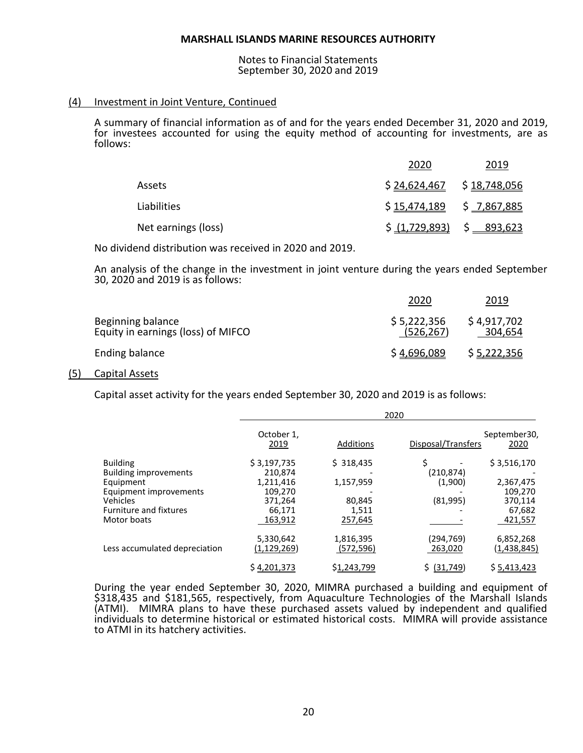Notes to Financial Statements September 30, 2020 and 2019

# (4) Investment in Joint Venture, Continued

A summary of financial information as of and for the years ended December 31, 2020 and 2019, for investees accounted for using the equity method of accounting for investments, are as follows:

|                     | 2020                        | 2019       |
|---------------------|-----------------------------|------------|
| Assets              | $$24,624,467$ $$18,748,056$ |            |
| Liabilities         | $$15,474,189$ $$7,867,885$  |            |
| Net earnings (loss) | \$ (1,729,893)              | \$ 893,623 |

No dividend distribution was received in 2020 and 2019.

An analysis of the change in the investment in joint venture during the years ended September 30, 2020 and 2019 is as follows:

|                                                         | 2020                      | 2019                   |
|---------------------------------------------------------|---------------------------|------------------------|
| Beginning balance<br>Equity in earnings (loss) of MIFCO | \$5,222,356<br>(526, 267) | \$4,917,702<br>304,654 |
| <b>Ending balance</b>                                   | \$4,696,089               | \$ 5,222,356           |

#### (5) Capital Assets

Capital asset activity for the years ended September 30, 2020 and 2019 is as follows:

|                               | 2020                       |                         |                      |                          |
|-------------------------------|----------------------------|-------------------------|----------------------|--------------------------|
|                               | October 1,<br>2019         | Additions               | Disposal/Transfers   | September30,<br>2020     |
| <b>Building</b>               | \$3,197,735                | \$318.435               | \$                   | \$3,516,170              |
| <b>Building improvements</b>  | 210,874                    |                         | (210,874)            |                          |
| Equipment                     | 1,211,416                  | 1,157,959               | (1,900)              | 2,367,475                |
| Equipment improvements        | 109,270                    |                         |                      | 109,270                  |
| Vehicles                      | 371,264                    | 80,845                  | (81,995)             | 370,114                  |
| <b>Furniture and fixtures</b> | 66,171                     | 1,511                   |                      | 67,682                   |
| Motor boats                   | 163,912                    | 257,645                 |                      | 421,557                  |
| Less accumulated depreciation | 5,330,642<br>(1, 129, 269) | 1,816,395<br>(572, 596) | (294,769)<br>263,020 | 6,852,268<br>(1,438,845) |
|                               | \$ 4,201,373               | \$1,243,799             | \$ (31,749)          | \$5,413,423              |

During the year ended September 30, 2020, MIMRA purchased a building and equipment of \$318,435 and \$181,565, respectively, from Aquaculture Technologies of the Marshall Islands (ATMI). MIMRA plans to have these purchased assets valued by independent and qualified individuals to determine historical or estimated historical costs. MIMRA will provide assistance to ATMI in its hatchery activities.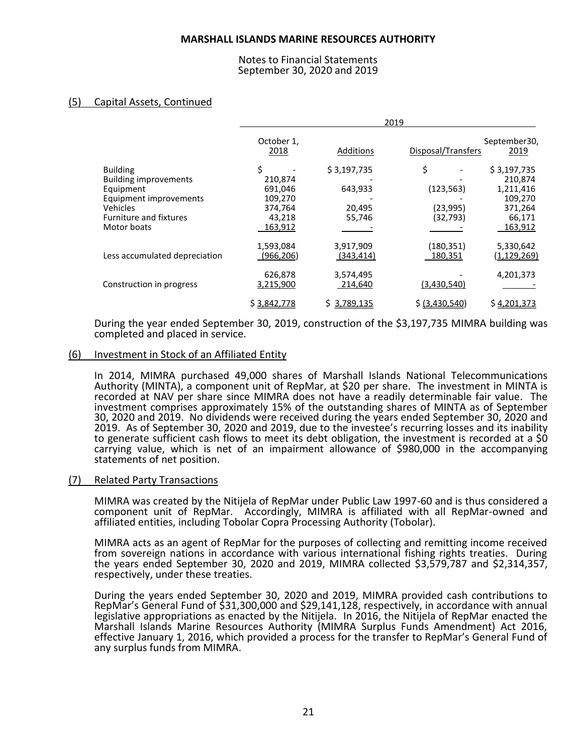Notes to Financial Statements September 30, 2020 and 2019

# (5) Capital Assets, Continued

|                                                                                                                                                    |                                                                     |                                            | 2019                                      |                                                                                |
|----------------------------------------------------------------------------------------------------------------------------------------------------|---------------------------------------------------------------------|--------------------------------------------|-------------------------------------------|--------------------------------------------------------------------------------|
|                                                                                                                                                    | October 1,<br>2018                                                  | Additions                                  | Disposal/Transfers                        | September30,<br>2019                                                           |
| <b>Building</b><br><b>Building improvements</b><br>Equipment<br>Equipment improvements<br>Vehicles<br><b>Furniture and fixtures</b><br>Motor boats | \$<br>210,874<br>691,046<br>109,270<br>374,764<br>43,218<br>163,912 | \$3,197,735<br>643,933<br>20,495<br>55,746 | \$<br>(123, 563)<br>(23,995)<br>(32, 793) | \$3,197,735<br>210,874<br>1,211,416<br>109,270<br>371,264<br>66,171<br>163,912 |
| Less accumulated depreciation                                                                                                                      | 1,593,084<br>(966, 206)                                             | 3,917,909<br>(343, 414)                    | (180, 351)<br>180,351                     | 5,330,642<br><u>(1,129,269)</u>                                                |
| Construction in progress                                                                                                                           | 626,878<br>3,215,900                                                | 3,574,495<br>214,640                       | (3,430,540)                               | 4,201,373                                                                      |
|                                                                                                                                                    | \$3,842,778                                                         | \$3,789,135                                | \$ (3,430,540)                            | \$4,201,373                                                                    |

During the year ended September 30, 2019, construction of the \$3,197,735 MIMRA building was completed and placed in service.

# (6) Investment in Stock of an Affiliated Entity

In 2014, MIMRA purchased 49,000 shares of Marshall Islands National Telecommunications Authority (MINTA), a component unit of RepMar, at \$20 per share. The investment in MINTA is recorded at NAV per share since MIMRA does not have a readily determinable fair value. The investment comprises approximately 15% of the outstanding shares of MINTA as of September 30, 2020 and 2019. No dividends were received during the years ended September 30, 2020 and 2019. As of September 30, 2020 and 2019, due to the investee's recurring losses and its inability to generate sufficient cash flows to meet its debt obligation, the investment is recorded at a \$0 carrying value, which is net of an impairment allowance of \$980,000 in the accompanying statements of net position.

#### (7) Related Party Transactions

MIMRA was created by the Nitijela of RepMar under Public Law 1997-60 and is thus considered a component unit of RepMar. Accordingly, MIMRA is affiliated with all RepMar-owned and affiliated entities, including Tobolar Copra Processing Authority (Tobolar).

MIMRA acts as an agent of RepMar for the purposes of collecting and remitting income received from sovereign nations in accordance with various international fishing rights treaties. During the years ended September 30, 2020 and 2019, MIMRA collected \$3,579,787 and \$2,314,357, respectively, under these treaties.

During the years ended September 30, 2020 and 2019, MIMRA provided cash contributions to RepMar's General Fund of \$31,300,000 and \$29,141,128, respectively, in accordance with annual legislative appropriations as enacted by the Nitijela. In 2016, the Nitijela of RepMar enacted the Marshall Islands Marine Resources Authority (MIMRA Surplus Funds Amendment) Act 2016, effective January 1, 2016, which provided a process for the transfer to RepMar's General Fund of any surplus funds from MIMRA.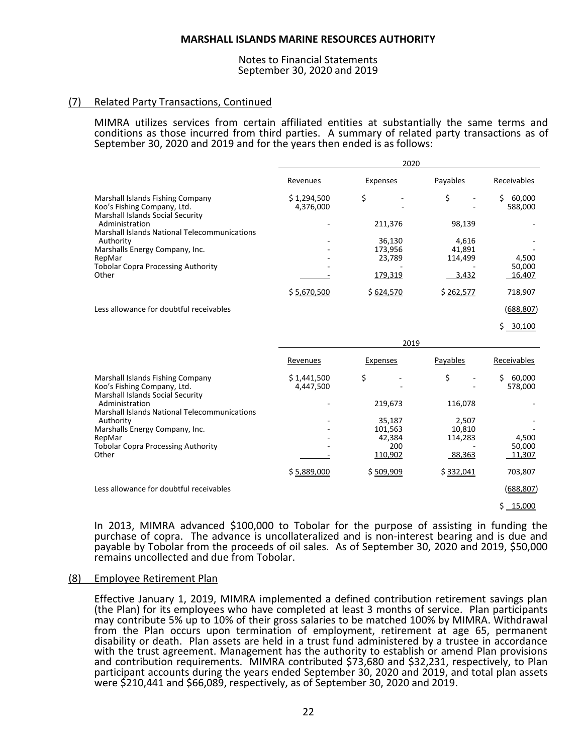#### Notes to Financial Statements September 30, 2020 and 2019

# (7) Related Party Transactions, Continued

MIMRA utilizes services from certain affiliated entities at substantially the same terms and conditions as those incurred from third parties. A summary of related party transactions as of September 30, 2020 and 2019 and for the years then ended is as follows:

|                                                                                                     | 2020                     |           |           |                   |
|-----------------------------------------------------------------------------------------------------|--------------------------|-----------|-----------|-------------------|
|                                                                                                     | Revenues                 | Expenses  | Payables  | Receivables       |
| Marshall Islands Fishing Company<br>Koo's Fishing Company, Ltd.<br>Marshall Islands Social Security | \$1,294,500<br>4,376,000 | \$        | \$        | 60,000<br>588,000 |
| Administration<br><b>Marshall Islands National Telecommunications</b>                               |                          | 211,376   | 98,139    |                   |
| Authority                                                                                           |                          | 36.130    | 4,616     |                   |
| Marshalls Energy Company, Inc.                                                                      |                          | 173,956   | 41,891    |                   |
| RepMar                                                                                              |                          | 23,789    | 114,499   | 4,500             |
| <b>Tobolar Copra Processing Authority</b>                                                           |                          |           |           | 50,000            |
| Other                                                                                               |                          | 179,319   | 3,432     | 16,407            |
|                                                                                                     | \$5,670,500              | \$624,570 | \$262,577 | 718,907           |
| المعامات بالمممان بالبابط والمسامر ويملك ممسور بمسالم الممسال                                       |                          |           |           | (0.00007)         |

Less allowance for doubtful receivables (688,807) and the control of the control of the control of the control of the control of the control of the control of the control of the control of the control of the control of the

 $$ 30,100$ 

|                                                                                                                       | 2019                     |                             |                            |                             |
|-----------------------------------------------------------------------------------------------------------------------|--------------------------|-----------------------------|----------------------------|-----------------------------|
|                                                                                                                       | Revenues                 | Expenses                    | Payables                   | <b>Receivables</b>          |
| Marshall Islands Fishing Company<br>Koo's Fishing Company, Ltd.<br>Marshall Islands Social Security<br>Administration | \$1,441,500<br>4,447,500 | \$<br>219,673               | \$<br>116,078              | Ŝ.<br>60,000<br>578,000     |
| <b>Marshall Islands National Telecommunications</b><br>Authority<br>Marshalls Energy Company, Inc.<br>RepMar          |                          | 35,187<br>101,563<br>42,384 | 2,507<br>10,810<br>114,283 | 4,500                       |
| <b>Tobolar Copra Processing Authority</b><br>Other                                                                    | \$5,889,000              | 200<br>110,902<br>\$509,909 | 88,363<br>\$332,041        | 50,000<br>11,307<br>703,807 |
| Less allowance for doubtful receivables                                                                               |                          |                             |                            | (688, 807)<br>$A = 200$     |

 $$ 15,000$ 

In 2013, MIMRA advanced \$100,000 to Tobolar for the purpose of assisting in funding the purchase of copra. The advance is uncollateralized and is non-interest bearing and is due and payable by Tobolar from the proceeds of oil sales. As of September 30, 2020 and 2019, \$50,000 remains uncollected and due from Tobolar.

#### (8) Employee Retirement Plan

Effective January 1, 2019, MIMRA implemented a defined contribution retirement savings plan (the Plan) for its employees who have completed at least 3 months of service. Plan participants may contribute 5% up to 10% of their gross salaries to be matched 100% by MIMRA. Withdrawal from the Plan occurs upon termination of employment, retirement at age 65, permanent disability or death. Plan assets are held in a trust fund administered by a trustee in accordance with the trust agreement. Management has the authority to establish or amend Plan provisions and contribution requirements. MIMRA contributed \$73,680 and \$32,231, respectively, to Plan participant accounts during the years ended September 30, 2020 and 2019, and total plan assets were \$210,441 and \$66,089, respectively, as of September 30, 2020 and 2019.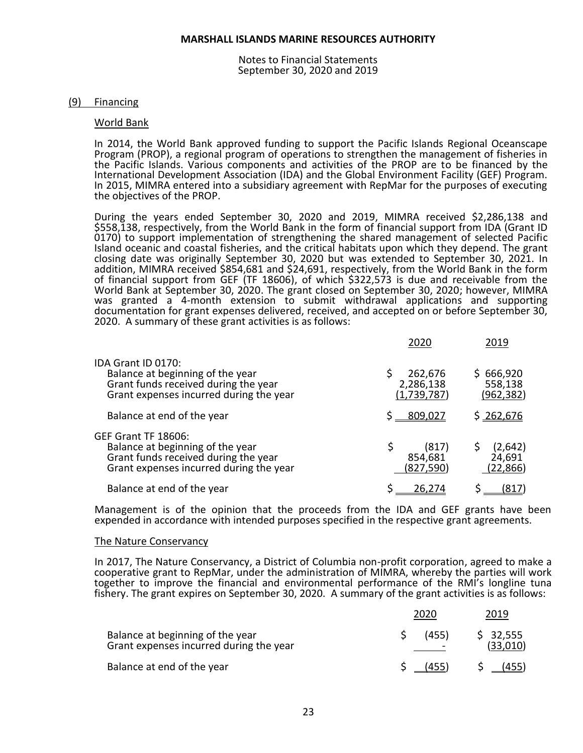Notes to Financial Statements September 30, 2020 and 2019

#### (9) Financing

#### World Bank

In 2014, the World Bank approved funding to support the Pacific Islands Regional Oceanscape Program (PROP), a regional program of operations to strengthen the management of fisheries in the Pacific Islands. Various components and activities of the PROP are to be financed by the International Development Association (IDA) and the Global Environment Facility (GEF) Program. In 2015, MIMRA entered into a subsidiary agreement with RepMar for the purposes of executing the objectives of the PROP.

During the years ended September 30, 2020 and 2019, MIMRA received \$2,286,138 and \$558,138, respectively, from the World Bank in the form of financial support from IDA (Grant ID 0170) to support implementation of strengthening the shared management of selected Pacific Island oceanic and coastal fisheries, and the critical habitats upon which they depend. The grant closing date was originally September 30, 2020 but was extended to September 30, 2021. In addition, MIMRA received \$854,681 and \$24,691, respectively, from the World Bank in the form of financial support from GEF (TF 18606), of which \$322,573 is due and receivable from the World Bank at September 30, 2020. The grant closed on September 30, 2020; however, MIMRA was granted a 4-month extension to submit withdrawal applications and supporting documentation for grant expenses delivered, received, and accepted on or before September 30, 2020. A summary of these grant activities is as follows:

|                                                                                                                                                   |                                     | 2019                               |
|---------------------------------------------------------------------------------------------------------------------------------------------------|-------------------------------------|------------------------------------|
| IDA Grant ID 0170:<br>Balance at beginning of the year<br>Grant funds received during the year<br>Grant expenses incurred during the year         | 262,676<br>2,286,138<br>(1,739,787) | \$666,920<br>558,138<br>(962, 382) |
| Balance at end of the year                                                                                                                        | 809,027                             | \$262,676                          |
| <b>GEF Grant TF 18606:</b><br>Balance at beginning of the year<br>Grant funds received during the year<br>Grant expenses incurred during the year | (817)<br>854,681<br>(827,590)       | (2,642)<br>24,691<br>(22, 866)     |
| Balance at end of the year                                                                                                                        |                                     |                                    |

Management is of the opinion that the proceeds from the IDA and GEF grants have been expended in accordance with intended purposes specified in the respective grant agreements.

#### The Nature Conservancy

In 2017, The Nature Conservancy, a District of Columbia non-profit corporation, agreed to make a cooperative grant to RepMar, under the administration of MIMRA, whereby the parties will work together to improve the financial and environmental performance of the RMI's longline tuna fishery. The grant expires on September 30, 2020. A summary of the grant activities is as follows:

|                                                                             | 2020  | 2019                  |
|-----------------------------------------------------------------------------|-------|-----------------------|
| Balance at beginning of the year<br>Grant expenses incurred during the year | (455) | \$ 32,555<br>(33,010) |
| Balance at end of the year                                                  | (455) | $5 \frac{(455)}{2}$   |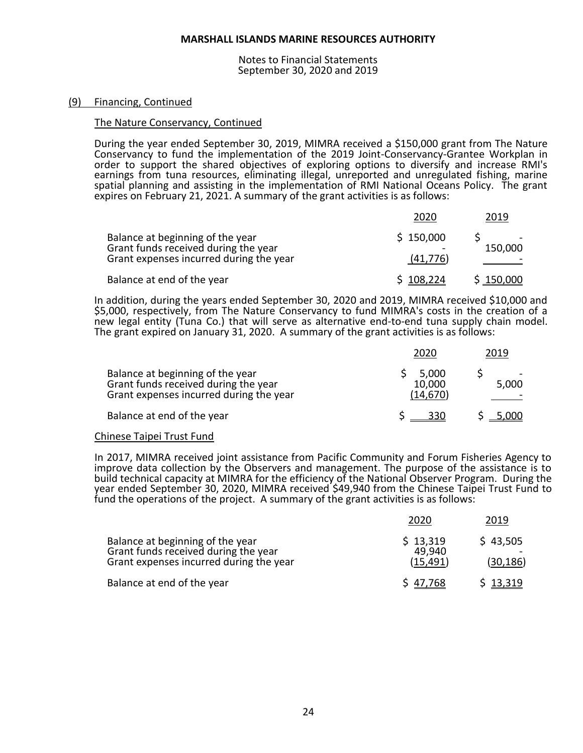#### Notes to Financial Statements September 30, 2020 and 2019

# (9) Financing, Continued

#### The Nature Conservancy, Continued

During the year ended September 30, 2019, MIMRA received a \$150,000 grant from The Nature Conservancy to fund the implementation of the 2019 Joint-Conservancy-Grantee Workplan in order to support the shared objectives of exploring options to diversify and increase RMI's earnings from tuna resources, eliminating illegal, unreported and unregulated fishing, marine spatial planning and assisting in the implementation of RMI National Oceans Policy. The grant expires on February 21, 2021. A summary of the grant activities is as follows:

|                                                                                                                     | 2020                   | 2019      |
|---------------------------------------------------------------------------------------------------------------------|------------------------|-----------|
| Balance at beginning of the year<br>Grant funds received during the year<br>Grant expenses incurred during the year | \$150,000<br>(41, 776) | 150,000   |
| Balance at end of the year                                                                                          | \$108,224              | \$150,000 |

In addition, during the years ended September 30, 2020 and 2019, MIMRA received \$10,000 and \$5,000, respectively, from The Nature Conservancy to fund MIMRA's costs in the creation of a new legal entity (Tuna Co.) that will serve as alternative end-to-end tuna supply chain model. The grant expired on January 31, 2020. A summary of the grant activities is as follows:

|                                                                                                                     | 2020                         | 2019        |
|---------------------------------------------------------------------------------------------------------------------|------------------------------|-------------|
| Balance at beginning of the year<br>Grant funds received during the year<br>Grant expenses incurred during the year | 5,000<br>10,000<br>(14, 670) | 5,000       |
| Balance at end of the year                                                                                          | 330                          | $5 - 5,000$ |

#### Chinese Taipei Trust Fund

In 2017, MIMRA received joint assistance from Pacific Community and Forum Fisheries Agency to improve data collection by the Observers and management. The purpose of the assistance is to build technical capacity at MIMRA for the efficiency of the National Observer Program. During the year ended September 30, 2020, MIMRA received \$49,940 from the Chinese Taipei Trust Fund to fund the operations of the project. A summary of the grant activities is as follows:

|                                                                                                                     | 2020                            | 2019                  |
|---------------------------------------------------------------------------------------------------------------------|---------------------------------|-----------------------|
| Balance at beginning of the year<br>Grant funds received during the year<br>Grant expenses incurred during the year | \$13,319<br>49,940<br>(15, 491) | \$43,505<br>(30, 186) |
| Balance at end of the year                                                                                          | \$47,768                        | \$13,319              |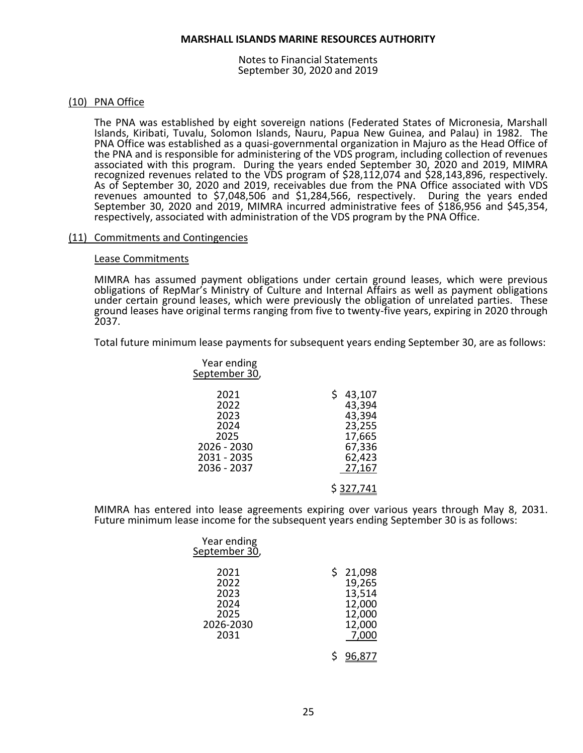Notes to Financial Statements September 30, 2020 and 2019

#### (10) PNA Office

The PNA was established by eight sovereign nations (Federated States of Micronesia, Marshall Islands, Kiribati, Tuvalu, Solomon Islands, Nauru, Papua New Guinea, and Palau) in 1982. The PNA Office was established as a quasi-governmental organization in Majuro as the Head Office of the PNA and is responsible for administering of the VDS program, including collection of revenues associated with this program. During the years ended September 30, 2020 and 2019, MIMRA recognized revenues related to the VDS program of \$28,112,074 and \$28,143,896, respectively. As of September 30, 2020 and 2019, receivables due from the PNA Office associated with VDS revenues amounted to \$7,048,506 and \$1,284,566, respectively. During the years ended September 30, 2020 and 2019, MIMRA incurred administrative fees of \$186,956 and \$45,354, respectively, associated with administration of the VDS program by the PNA Office.

#### (11) Commitments and Contingencies

#### Lease Commitments

MIMRA has assumed payment obligations under certain ground leases, which were previous obligations of RepMar's Ministry of Culture and Internal Affairs as well as payment obligations under certain ground leases, which were previously the obligation of unrelated parties. These ground leases have original terms ranging from five to twenty-five years, expiring in 2020 through 2037.

Total future minimum lease payments for subsequent years ending September 30, are as follows:

| Year ending<br>September 30,                                                      |                                                                              |
|-----------------------------------------------------------------------------------|------------------------------------------------------------------------------|
| 2021<br>2022<br>2023<br>2024<br>2025<br>2026 - 2030<br>2031 - 2035<br>2036 - 2037 | 43,107<br>43,394<br>43,394<br>23,255<br>17,665<br>67,336<br>62,423<br>27,167 |
|                                                                                   | \$ <u>327,741</u>                                                            |

MIMRA has entered into lease agreements expiring over various years through May 8, 2031. Future minimum lease income for the subsequent years ending September 30 is as follows:

| Year ending<br>September 30,                              |                                                                     |
|-----------------------------------------------------------|---------------------------------------------------------------------|
| 2021<br>2022<br>2023<br>2024<br>2025<br>2026-2030<br>2031 | \$21,098<br>19,265<br>13,514<br>12,000<br>12,000<br>12,000<br>7,000 |
|                                                           |                                                                     |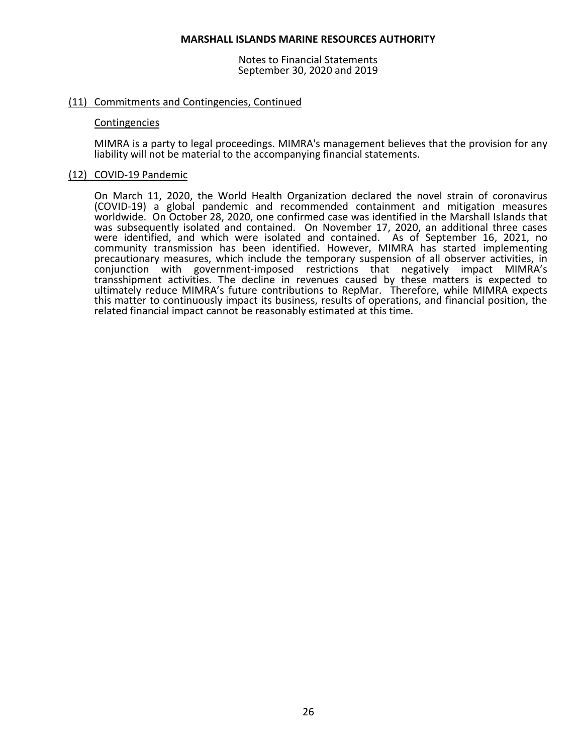Notes to Financial Statements September 30, 2020 and 2019

# (11) Commitments and Contingencies, Continued

# Contingencies

MIMRA is a party to legal proceedings. MIMRA's management believes that the provision for any liability will not be material to the accompanying financial statements.

# (12) COVID-19 Pandemic

On March 11, 2020, the World Health Organization declared the novel strain of coronavirus (COVID-19) a global pandemic and recommended containment and mitigation measures worldwide. On October 28, 2020, one confirmed case was identified in the Marshall Islands that was subsequently isolated and contained. On November 17, 2020, an additional three cases were identified, and which were isolated and contained. As of September 16, 2021, no community transmission has been identified. However, MIMRA has started implementing precautionary measures, which include the temporary suspension of all observer activities, in conjunction with government-imposed restrictions that negatively impact MIMRA's transshipment activities. The decline in revenues caused by these matters is expected to ultimately reduce MIMRA's future contributions to RepMar. Therefore, while MIMRA expects this matter to continuously impact its business, results of operations, and financial position, the related financial impact cannot be reasonably estimated at this time.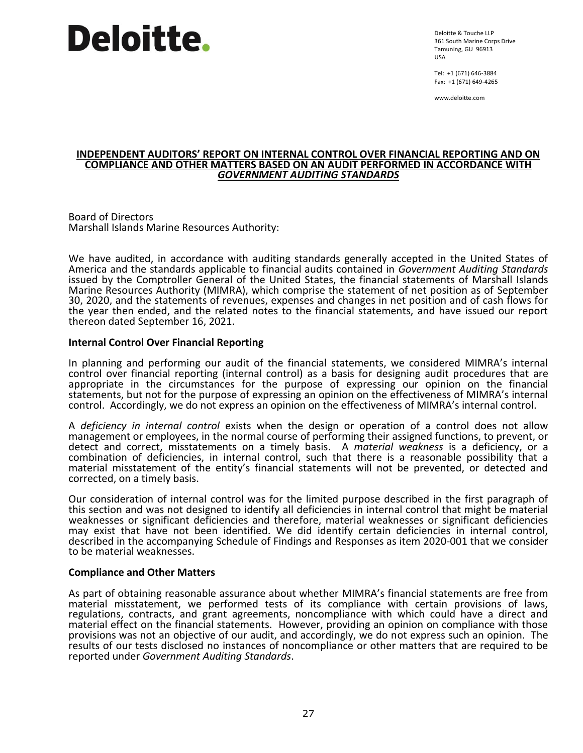# **Deloitte.**

Deloitte & Touche LLP 361 South Marine Corps Drive Tamuning, GU 96913 USA

Tel: +1 (671) 646-3884 Fax: +1 (671) 649-4265

www.deloitte.com

#### **INDEPENDENT AUDITORS' REPORT ON INTERNAL CONTROL OVER FINANCIAL REPORTING AND ON COMPLIANCE AND OTHER MATTERS BASED ON AN AUDIT PERFORMED IN ACCORDANCE WITH**  *GOVERNMENT AUDITING STANDARDS*

Board of Directors Marshall Islands Marine Resources Authority:

We have audited, in accordance with auditing standards generally accepted in the United States of America and the standards applicable to financial audits contained in *Government Auditing Standards* issued by the Comptroller General of the United States, the financial statements of Marshall Islands Marine Resources Authority (MIMRA), which comprise the statement of net position as of September 30, 2020, and the statements of revenues, expenses and changes in net position and of cash flows for the year then ended, and the related notes to the financial statements, and have issued our report thereon dated September 16, 2021.

# **Internal Control Over Financial Reporting**

In planning and performing our audit of the financial statements, we considered MIMRA's internal control over financial reporting (internal control) as a basis for designing audit procedures that are appropriate in the circumstances for the purpose of expressing our opinion on the financial statements, but not for the purpose of expressing an opinion on the effectiveness of MIMRA's internal control. Accordingly, we do not express an opinion on the effectiveness of MIMRA's internal control.

A *deficiency in internal control* exists when the design or operation of a control does not allow management or employees, in the normal course of performing their assigned functions, to prevent, or detect and correct, misstatements on a timely basis. A *material weakness* is a deficiency, or a combination of deficiencies, in internal control, such that there is a reasonable possibility that a material misstatement of the entity's financial statements will not be prevented, or detected and corrected, on a timely basis.

Our consideration of internal control was for the limited purpose described in the first paragraph of this section and was not designed to identify all deficiencies in internal control that might be material weaknesses or significant deficiencies and therefore, material weaknesses or significant deficiencies may exist that have not been identified. We did identify certain deficiencies in internal control, described in the accompanying Schedule of Findings and Responses as item 2020-001 that we consider to be material weaknesses.

# **Compliance and Other Matters**

As part of obtaining reasonable assurance about whether MIMRA's financial statements are free from material misstatement, we performed tests of its compliance with certain provisions of laws, regulations, contracts, and grant agreements, noncompliance with which could have a direct and material effect on the financial statements. However, providing an opinion on compliance with those provisions was not an objective of our audit, and accordingly, we do not express such an opinion. The results of our tests disclosed no instances of noncompliance or other matters that are required to be reported under *Government Auditing Standards*.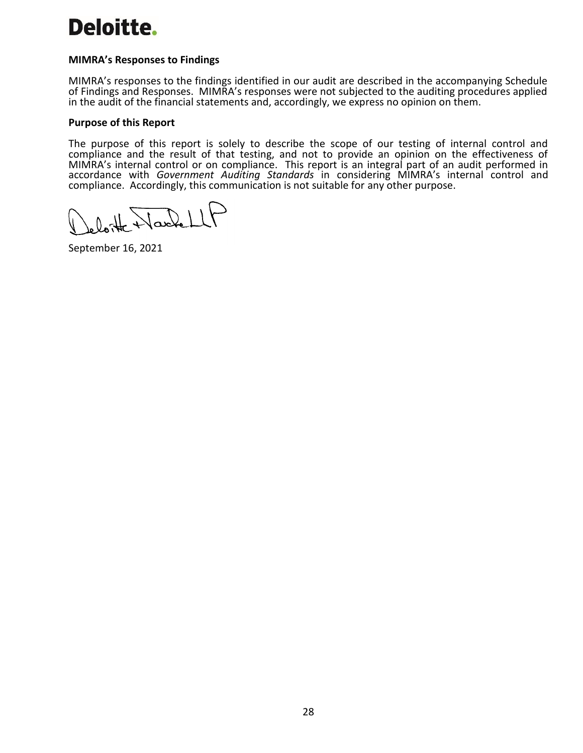# Deloitte.

# **MIMRA's Responses to Findings**

MIMRA's responses to the findings identified in our audit are described in the accompanying Schedule of Findings and Responses. MIMRA's responses were not subjected to the auditing procedures applied in the audit of the financial statements and, accordingly, we express no opinion on them.

# **Purpose of this Report**

The purpose of this report is solely to describe the scope of our testing of internal control and compliance and the result of that testing, and not to provide an opinion on the effectiveness of MIMRA's internal control or on compliance. This report is an integral part of an audit performed in accordance with *Government Auditing Standards* in considering MIMRA's internal control and compliance. Accordingly, this communication is not suitable for any other purpose.

September 16, 2021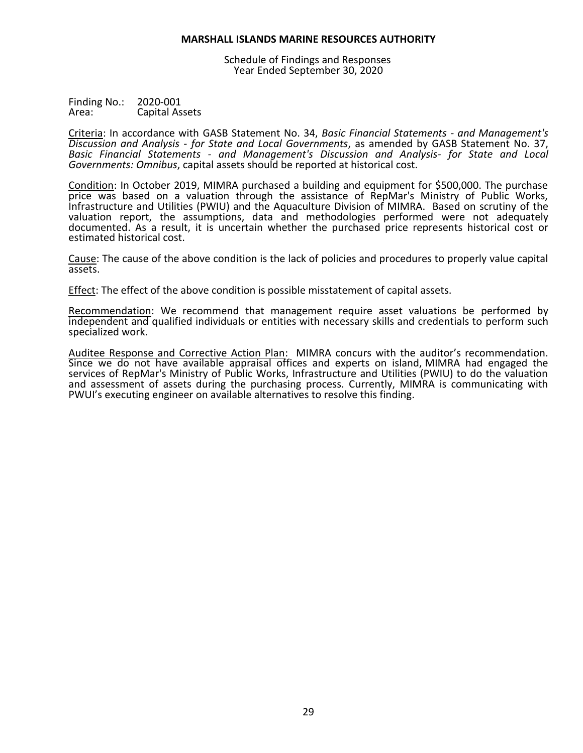Schedule of Findings and Responses Year Ended September 30, 2020

Finding No.: 2020-001<br>Area: Capital As Capital Assets

Criteria: In accordance with GASB Statement No. 34, *Basic Financial Statements - and Management's Discussion and Analysis - for State and Local Governments*, as amended by GASB Statement No. 37, *Basic Financial Statements - and Management's Discussion and Analysis- for State and Local Governments: Omnibus*, capital assets should be reported at historical cost.

Condition: In October 2019, MIMRA purchased a building and equipment for \$500,000. The purchase price was based on a valuation through the assistance of RepMar's Ministry of Public Works, Infrastructure and Utilities (PWIU) and the Aquaculture Division of MIMRA. Based on scrutiny of the valuation report, the assumptions, data and methodologies performed were not adequately documented. As a result, it is uncertain whether the purchased price represents historical cost or estimated historical cost.

Cause: The cause of the above condition is the lack of policies and procedures to properly value capital assets.

Effect: The effect of the above condition is possible misstatement of capital assets.

Recommendation: We recommend that management require asset valuations be performed by independent and qualified individuals or entities with necessary skills and credentials to perform such specialized work.

Auditee Response and Corrective Action Plan: MIMRA concurs with the auditor's recommendation. Since we do not have available appraisal offices and experts on island, MIMRA had engaged the services of RepMar's Ministry of Public Works, Infrastructure and Utilities (PWIU) to do the valuation and assessment of assets during the purchasing process. Currently, MIMRA is communicating with PWUI's executing engineer on available alternatives to resolve this finding.